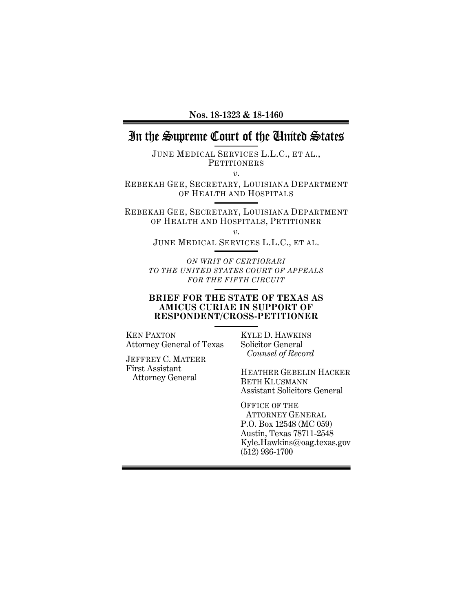## In the Supreme Court of the United States

JUNE MEDICAL SERVICES L.L.C., ET AL., **PETITIONERS** 

*v*.

REBEKAH GEE, SECRETARY, LOUISIANA DEPARTMENT OF HEALTH AND HOSPITALS

REBEKAH GEE, SECRETARY, LOUISIANA DEPARTMENT OF HEALTH AND HOSPITALS, PETITIONER

*v*.

JUNE MEDICAL SERVICES L.L.C., ET AL.

*ON WRIT OF CERTIORARI TO THE UNITED STATES COURT OF APPEALS FOR THE FIFTH CIRCUIT*

#### **BRIEF FOR THE STATE OF TEXAS AS AMICUS CURIAE IN SUPPORT OF RESPONDENT/CROSS-PETITIONER**

KEN PAXTON Attorney General of Texas

JEFFREY C. MATEER First Assistant Attorney General

KYLE D. HAWKINS Solicitor General  *Counsel of Record*

HEATHER GEBELIN HACKER BETH KLUSMANN Assistant Solicitors General

OFFICE OF THE ATTORNEY GENERAL P.O. Box 12548 (MC 059) Austin, Texas 78711-2548 Kyle.Hawkins@oag.texas.gov (512) 936-1700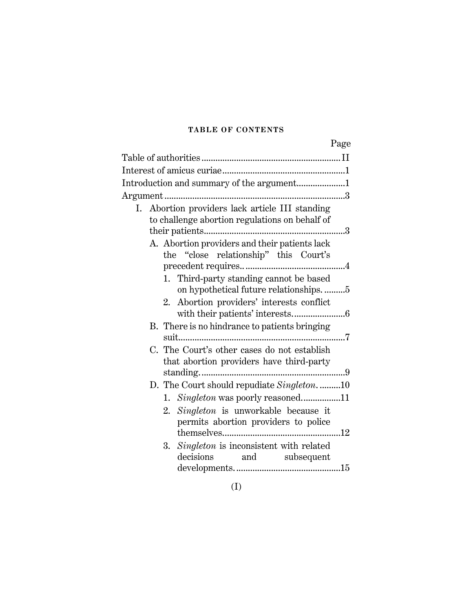## **TABLE OF CONTENTS**

|                                                                                                                                       | Page |
|---------------------------------------------------------------------------------------------------------------------------------------|------|
|                                                                                                                                       |      |
|                                                                                                                                       |      |
| Introduction and summary of the argument1                                                                                             |      |
|                                                                                                                                       |      |
| I. Abortion providers lack article III standing<br>to challenge abortion regulations on behalf of                                     |      |
| A. Abortion providers and their patients lack<br>the "close relationship" this Court's                                                |      |
| Third-party standing cannot be based<br>1.<br>on hypothetical future relationships. 5<br>Abortion providers' interests conflict<br>2. |      |
| B. There is no hindrance to patients bringing                                                                                         |      |
| C. The Court's other cases do not establish<br>that abortion providers have third-party                                               |      |
| D. The Court should repudiate Singleton10<br>1. Singleton was poorly reasoned11                                                       |      |
| Singleton is unworkable because it<br>2.<br>permits abortion providers to police                                                      |      |
| <i>Singleton</i> is inconsistent with related<br>3.<br>decisions<br>and subsequent                                                    |      |

(I)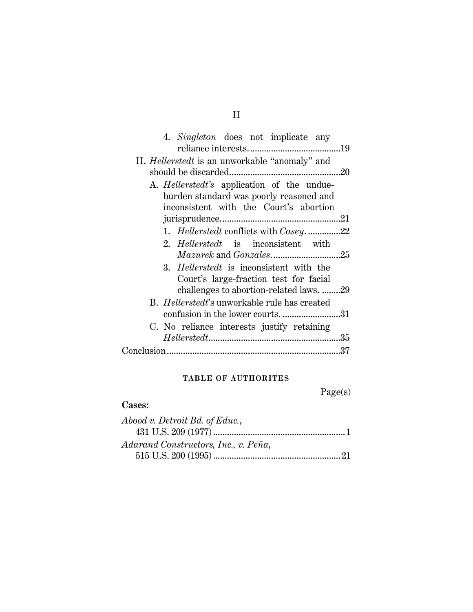| 4. Singleton does not implicate any                  |     |
|------------------------------------------------------|-----|
|                                                      |     |
| II. Hellerstedt is an unworkable "anomaly" and       |     |
|                                                      |     |
| A. <i>Hellerstedt's</i> application of the undue-    |     |
| burden standard was poorly reasoned and              |     |
| inconsistent with the Court's abortion               |     |
|                                                      |     |
| 1. Hellerstedt conflicts with Casey22                |     |
| 2. Hellerstedt is inconsistent with                  |     |
| <i>Mazurek</i> and <i>Gonzales</i> 25                |     |
| 3. Hellerstedt is inconsistent with the              |     |
| Court's large-fraction test for facial               |     |
| challenges to abortion-related laws. 29              |     |
| B. <i>Hellerstedt</i> 's unworkable rule has created |     |
|                                                      | .31 |
| C. No reliance interests justify retaining           |     |
|                                                      |     |
|                                                      |     |
|                                                      |     |

## **TABLE OF AUTHORITES**

Page(s)

## **Cases**:

| Abood v. Detroit Bd. of Educ.,       |
|--------------------------------------|
|                                      |
| Adarand Constructors, Inc., v. Peña, |
|                                      |

## II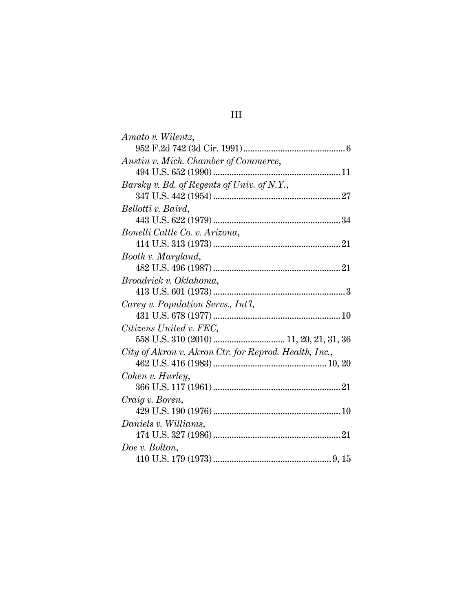| Amato v. Wilentz,                                     |
|-------------------------------------------------------|
|                                                       |
| Austin v. Mich. Chamber of Commerce,                  |
|                                                       |
| Barsky v. Bd. of Regents of Univ. of N.Y.,            |
|                                                       |
| Bellotti v. Baird,                                    |
|                                                       |
| Bonelli Cattle Co. v. Arizona,                        |
|                                                       |
| Booth v. Maryland,                                    |
|                                                       |
| Broadrick v. Oklahoma,                                |
|                                                       |
| Carey v. Population Servs., Int'l,                    |
|                                                       |
| Citizens United v. FEC,                               |
|                                                       |
| City of Akron v. Akron Ctr. for Reprod. Health, Inc., |
|                                                       |
| Cohen v. Hurley,                                      |
|                                                       |
| Craig v. Boren,                                       |
|                                                       |
| Daniels v. Williams,                                  |
|                                                       |
| Doe v. Bolton,                                        |
|                                                       |

# III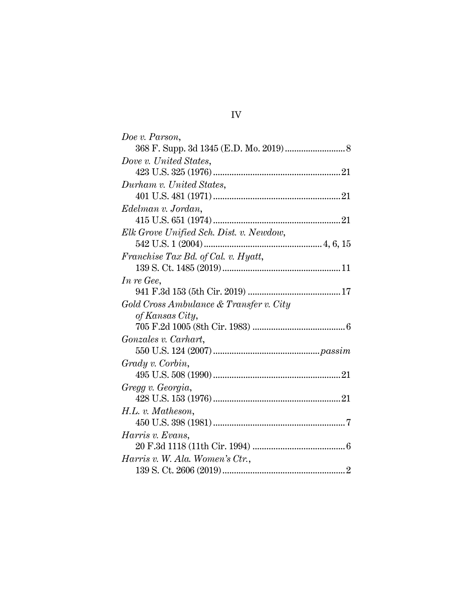| Doe v. Parson,                          |
|-----------------------------------------|
|                                         |
| Dove v. United States,                  |
|                                         |
| Durham v. United States,                |
|                                         |
| Edelman v. Jordan,                      |
|                                         |
| Elk Grove Unified Sch. Dist. v. Newdow, |
|                                         |
| Franchise Tax Bd. of Cal. v. Hyatt,     |
|                                         |
| In re Gee,                              |
|                                         |
| Gold Cross Ambulance & Transfer v. City |
| of Kansas City,                         |
|                                         |
| Gonzales v. Carhart,                    |
|                                         |
| Grady v. Corbin,                        |
|                                         |
| Gregg v. Georgia,                       |
|                                         |
| H.L. v. Matheson,                       |
|                                         |
| Harris v. Evans,                        |
|                                         |
| Harris v. W. Ala. Women's Ctr.,         |
|                                         |

IV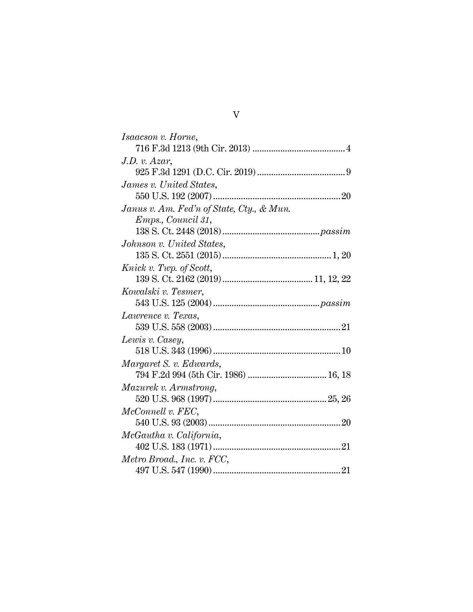| Isaacson v. Horne,                        |
|-------------------------------------------|
|                                           |
| J.D. v. Azar,                             |
|                                           |
| James v. United States,                   |
|                                           |
| Janus v. Am. Fed'n of State, Cty., & Mun. |
| Emps., Council 31,                        |
|                                           |
| Johnson v. United States,                 |
|                                           |
| Knick v. Twp. of Scott,                   |
|                                           |
| Kowalski v. Tesmer,                       |
|                                           |
| Lawrence v. Texas,                        |
|                                           |
| Lewis v. Casey,                           |
|                                           |
| Margaret S. v. Edwards,                   |
| 794 F.2d 994 (5th Cir. 1986)  16, 18      |
| Mazurek v. Armstrong,                     |
|                                           |
| McConnell v. FEC,                         |
|                                           |
| McGautha v. California,                   |
|                                           |
| Metro Broad., Inc. v. FCC,                |
|                                           |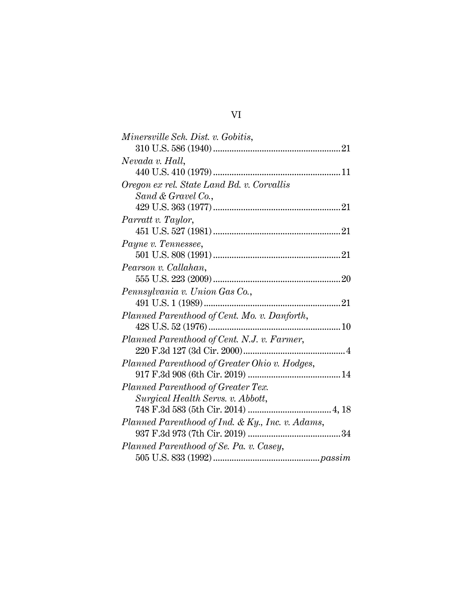| Minersville Sch. Dist. v. Gobitis,               |
|--------------------------------------------------|
|                                                  |
| Nevada v. Hall,                                  |
|                                                  |
| Oregon ex rel. State Land Bd. v. Corvallis       |
| Sand & Gravel Co.,                               |
|                                                  |
| Parratt v. Taylor,                               |
|                                                  |
| Payne v. Tennessee,                              |
|                                                  |
| Pearson v. Callahan,                             |
|                                                  |
| Pennsylvania v. Union Gas Co.,                   |
|                                                  |
| Planned Parenthood of Cent. Mo. v. Danforth,     |
|                                                  |
| Planned Parenthood of Cent. N.J. v. Farmer,      |
|                                                  |
| Planned Parenthood of Greater Ohio v. Hodges,    |
|                                                  |
| Planned Parenthood of Greater Tex.               |
| Surgical Health Servs. v. Abbott,                |
|                                                  |
| Planned Parenthood of Ind. & Ky., Inc. v. Adams, |
|                                                  |
|                                                  |
|                                                  |
| Planned Parenthood of Se. Pa. v. Casey,          |

## VI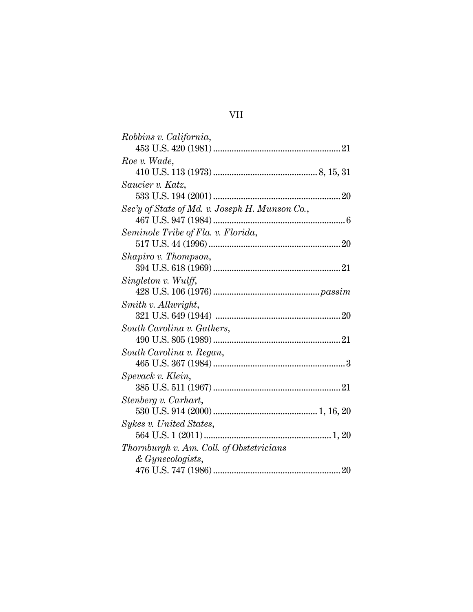| Robbins v. California,                         |  |
|------------------------------------------------|--|
|                                                |  |
| Roe v. Wade,                                   |  |
|                                                |  |
| Saucier v. Katz,                               |  |
|                                                |  |
| Sec'y of State of Md. v. Joseph H. Munson Co., |  |
|                                                |  |
| Seminole Tribe of Fla. v. Florida,             |  |
|                                                |  |
| Shapiro v. Thompson,                           |  |
|                                                |  |
| Singleton v. Wulff,                            |  |
|                                                |  |
| Smith v. Allwright,                            |  |
|                                                |  |
| South Carolina v. Gathers,                     |  |
|                                                |  |
| South Carolina v. Regan,                       |  |
|                                                |  |
| Spevack v. Klein,                              |  |
|                                                |  |
| Stenberg v. Carhart,                           |  |
|                                                |  |
| Sykes v. United States,                        |  |
|                                                |  |
| Thornburgh v. Am. Coll. of Obstetricians       |  |
| & Gynecologists,                               |  |
|                                                |  |
|                                                |  |

# VII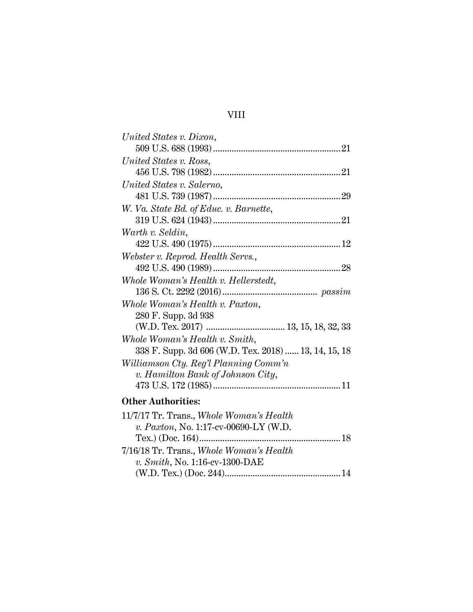## VIII

(W.D. Tex.) (Doc. 244).................................................[.14](#page-24-2)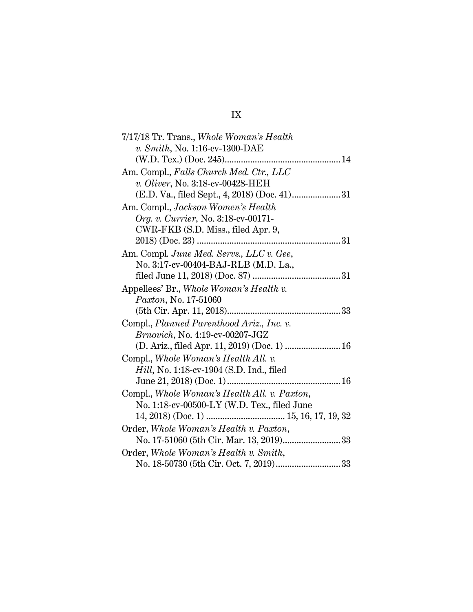# IX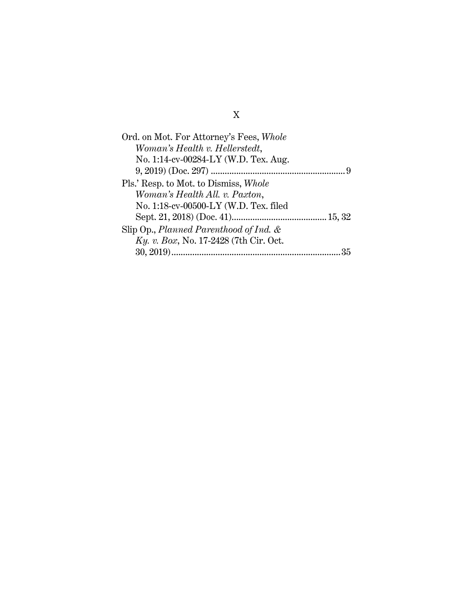| Ord. on Mot. For Attorney's Fees, Whole   |
|-------------------------------------------|
| Woman's Health v. Hellerstedt,            |
| No. 1:14-cv-00284-LY (W.D. Tex. Aug.      |
|                                           |
| Pls.' Resp. to Mot. to Dismiss, Whole     |
| Woman's Health All. v. Paxton,            |
| No. 1:18-cv-00500-LY (W.D. Tex. filed     |
|                                           |
| Slip Op., Planned Parenthood of Ind. $\&$ |
| Ky. v. Box, No. 17-2428 (7th Cir. Oct.    |
|                                           |

# X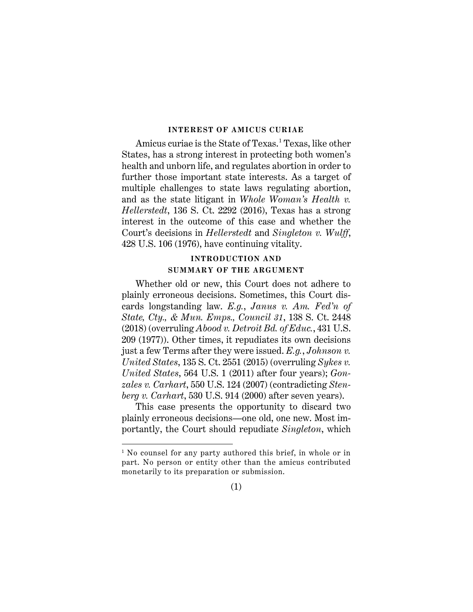#### **INTEREST OF AMICUS CURIAE**

<span id="page-11-0"></span>Amicus curiae is the State of Texas.<sup>[1](#page-11-6)</sup> Texas, like other States, has a strong interest in protecting both women's health and unborn life, and regulates abortion in order to further those important state interests. As a target of multiple challenges to state laws regulating abortion, and as the state litigant in *Whole Woman's Health v. Hellerstedt*, 136 S. Ct. 2292 (2016), Texas has a strong interest in the outcome of this case and whether the Court's decisions in *Hellerstedt* and *Singleton v. Wulff*, 428 U.S. 106 (1976), have continuing vitality.

## <span id="page-11-2"></span>**INTRODUCTION AND SUMMARY OF THE ARGUMENT**

<span id="page-11-1"></span>Whether old or new, this Court does not adhere to plainly erroneous decisions. Sometimes, this Court discards longstanding law. *E.g.*, *Janus v. Am. Fed'n of State, Cty., & Mun. Emps., Council 31*, 138 S. Ct. 2448 (2018) (overruling *Abood v. Detroit Bd. of Educ.*, 431 U.S. 209 (1977)). Other times, it repudiates its own decisions just a few Terms after they were issued. *E.g.*, *Johnson v. United States*, 135 S. Ct. 2551 (2015) (overruling *Sykes v. United States*, 564 U.S. 1 (2011) after four years); *Gonzales v. Carhart*, 550 U.S. 124 (2007) (contradicting *Stenberg v. Carhart*, 530 U.S. 914 (2000) after seven years).

This case presents the opportunity to discard two plainly erroneous decisions—one old, one new. Most importantly, the Court should repudiate *Singleton*, which

 $\overline{a}$ 

<span id="page-11-5"></span><span id="page-11-4"></span><span id="page-11-3"></span>(1)

<span id="page-11-6"></span><sup>&</sup>lt;sup>1</sup> No counsel for any party authored this brief, in whole or in part. No person or entity other than the amicus contributed monetarily to its preparation or submission.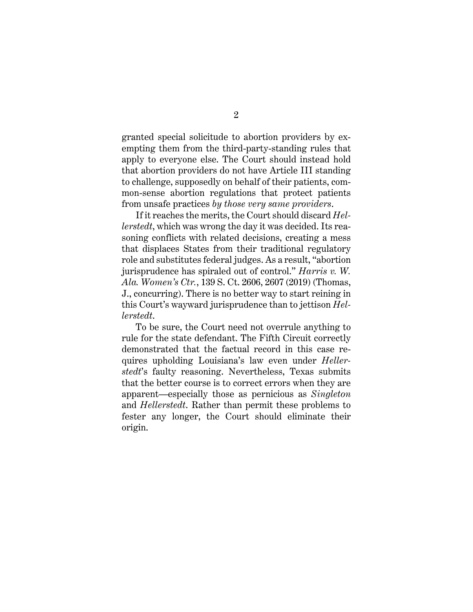granted special solicitude to abortion providers by exempting them from the third-party-standing rules that apply to everyone else. The Court should instead hold that abortion providers do not have Article III standing to challenge, supposedly on behalf of their patients, common-sense abortion regulations that protect patients from unsafe practices *by those very same providers*.

<span id="page-12-0"></span>If it reaches the merits, the Court should discard *Hellerstedt*, which was wrong the day it was decided. Its reasoning conflicts with related decisions, creating a mess that displaces States from their traditional regulatory role and substitutes federal judges. As a result, "abortion jurisprudence has spiraled out of control." *Harris v. W. Ala. Women's Ctr.*, 139 S. Ct. 2606, 2607 (2019) (Thomas, J., concurring). There is no better way to start reining in this Court's wayward jurisprudence than to jettison *Hellerstedt*.

To be sure, the Court need not overrule anything to rule for the state defendant. The Fifth Circuit correctly demonstrated that the factual record in this case requires upholding Louisiana's law even under *Hellerstedt*'s faulty reasoning. Nevertheless, Texas submits that the better course is to correct errors when they are apparent—especially those as pernicious as *Singleton* and *Hellerstedt*. Rather than permit these problems to fester any longer, the Court should eliminate their origin.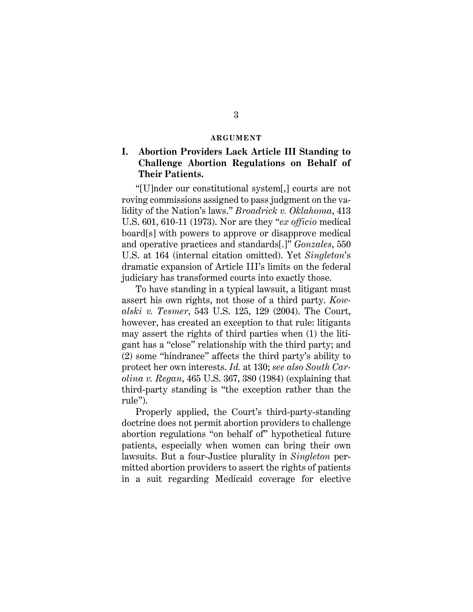#### <span id="page-13-2"></span>**ARGUMENT**

## <span id="page-13-1"></span><span id="page-13-0"></span>**I. Abortion Providers Lack Article III Standing to Challenge Abortion Regulations on Behalf of Their Patients.**

"[U]nder our constitutional system[,] courts are not roving commissions assigned to pass judgment on the validity of the Nation's laws." *Broadrick v. Oklahoma*, 413 U.S. 601, 610-11 (1973). Nor are they "*ex officio* medical board[s] with powers to approve or disapprove medical and operative practices and standards[.]" *Gonzales*, 550 U.S. at 164 (internal citation omitted). Yet *Singleton*'s dramatic expansion of Article III's limits on the federal judiciary has transformed courts into exactly those.

To have standing in a typical lawsuit, a litigant must assert his own rights, not those of a third party. *Kowalski v. Tesmer*, 543 U.S. 125, 129 (2004). The Court, however, has created an exception to that rule: litigants may assert the rights of third parties when (1) the litigant has a "close" relationship with the third party; and (2) some "hindrance" affects the third party's ability to protect her own interests. *Id.* at 130; *see also South Carolina v. Regan*, 465 U.S. 367, 380 (1984) (explaining that third-party standing is "the exception rather than the rule").

<span id="page-13-3"></span>Properly applied, the Court's third-party-standing doctrine does not permit abortion providers to challenge abortion regulations "on behalf of" hypothetical future patients, especially when women can bring their own lawsuits. But a four-Justice plurality in *Singleton* permitted abortion providers to assert the rights of patients in a suit regarding Medicaid coverage for elective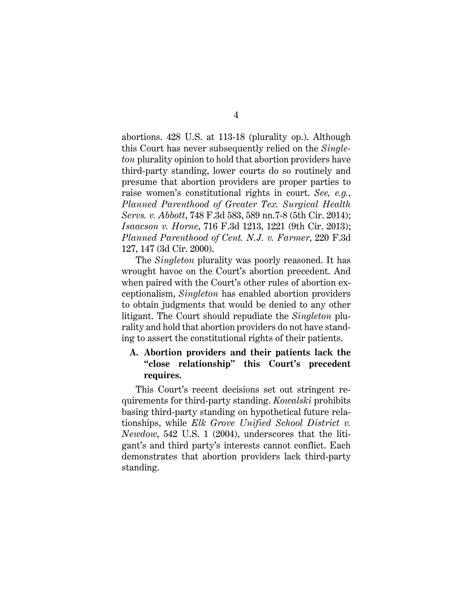abortions. 428 U.S. at 113-18 (plurality op.). Although this Court has never subsequently relied on the *Singleton* plurality opinion to hold that abortion providers have third-party standing, lower courts do so routinely and presume that abortion providers are proper parties to raise women's constitutional rights in court. *See, e.g.*, *Planned Parenthood of Greater Tex. Surgical Health Servs. v. Abbott*, 748 F.3d 583, 589 nn.7-8 (5th Cir. 2014); *Isaacson v. Horne*, 716 F.3d 1213, 1221 (9th Cir. 2013); *Planned Parenthood of Cent. N.J. v. Farmer*, 220 F.3d 127, 147 (3d Cir. 2000).

<span id="page-14-3"></span><span id="page-14-2"></span><span id="page-14-1"></span>The *Singleton* plurality was poorly reasoned. It has wrought havoc on the Court's abortion precedent. And when paired with the Court's other rules of abortion exceptionalism, *Singleton* has enabled abortion providers to obtain judgments that would be denied to any other litigant. The Court should repudiate the *Singleton* plurality and hold that abortion providers do not have standing to assert the constitutional rights of their patients.

## <span id="page-14-0"></span>**A. Abortion providers and their patients lack the "close relationship" this Court's precedent requires.**

This Court's recent decisions set out stringent requirements for third-party standing. *Kowalski* prohibits basing third-party standing on hypothetical future relationships, while *Elk Grove Unified School District v. Newdow*, 542 U.S. 1 (2004), underscores that the litigant's and third party's interests cannot conflict. Each demonstrates that abortion providers lack third-party standing.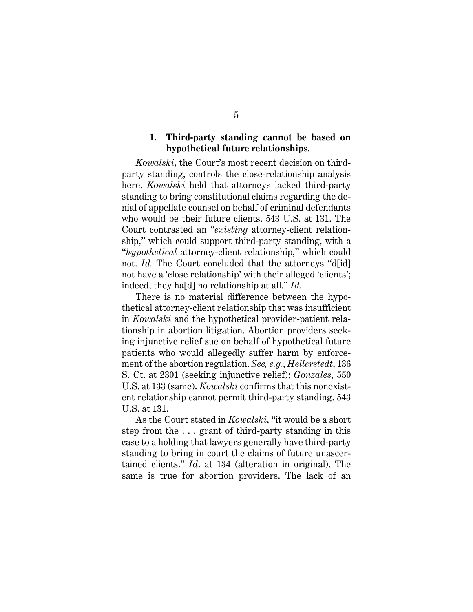## **1. Third-party standing cannot be based on hypothetical future relationships.**

<span id="page-15-0"></span>*Kowalski*, the Court's most recent decision on thirdparty standing, controls the close-relationship analysis here. *Kowalski* held that attorneys lacked third-party standing to bring constitutional claims regarding the denial of appellate counsel on behalf of criminal defendants who would be their future clients. 543 U.S. at 131. The Court contrasted an "*existing* attorney-client relationship," which could support third-party standing, with a "*hypothetical* attorney-client relationship," which could not. *Id.* The Court concluded that the attorneys "d[id] not have a 'close relationship' with their alleged 'clients'; indeed, they ha[d] no relationship at all." *Id.*

There is no material difference between the hypothetical attorney-client relationship that was insufficient in *Kowalski* and the hypothetical provider-patient relationship in abortion litigation. Abortion providers seeking injunctive relief sue on behalf of hypothetical future patients who would allegedly suffer harm by enforcement of the abortion regulation. *See, e.g.*, *Hellerstedt*, 136 S. Ct. at 2301 (seeking injunctive relief); *Gonzales*, 550 U.S. at 133 (same). *Kowalski* confirms that this nonexistent relationship cannot permit third-party standing. 543 U.S. at 131.

As the Court stated in *Kowalski*, "it would be a short step from the . . . grant of third-party standing in this case to a holding that lawyers generally have third-party standing to bring in court the claims of future unascertained clients." *Id*. at 134 (alteration in original). The same is true for abortion providers. The lack of an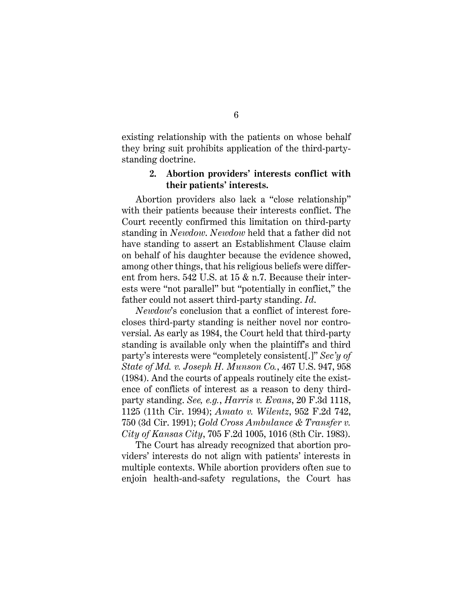existing relationship with the patients on whose behalf they bring suit prohibits application of the third-partystanding doctrine.

## <span id="page-16-2"></span><span id="page-16-0"></span>**2. Abortion providers' interests conflict with their patients' interests.**

Abortion providers also lack a "close relationship" with their patients because their interests conflict. The Court recently confirmed this limitation on third-party standing in *Newdow*. *Newdow* held that a father did not have standing to assert an Establishment Clause claim on behalf of his daughter because the evidence showed, among other things, that his religious beliefs were different from hers. 542 U.S. at 15 & n.7. Because their interests were "not parallel" but "potentially in conflict," the father could not assert third-party standing. *Id*.

<span id="page-16-5"></span>*Newdow*'s conclusion that a conflict of interest forecloses third-party standing is neither novel nor controversial. As early as 1984, the Court held that third-party standing is available only when the plaintiff's and third party's interests were "completely consistent[.]" *Sec'y of State of Md. v. Joseph H. Munson Co.*, 467 U.S. 947, 958 (1984). And the courts of appeals routinely cite the existence of conflicts of interest as a reason to deny thirdparty standing. *See, e.g.*, *Harris v. Evans*, 20 F.3d 1118, 1125 (11th Cir. 1994); *Amato v. Wilentz*, 952 F.2d 742, 750 (3d Cir. 1991); *Gold Cross Ambulance & Transfer v. City of Kansas City*, 705 F.2d 1005, 1016 (8th Cir. 1983).

<span id="page-16-4"></span><span id="page-16-3"></span><span id="page-16-1"></span>The Court has already recognized that abortion providers' interests do not align with patients' interests in multiple contexts. While abortion providers often sue to enjoin health-and-safety regulations, the Court has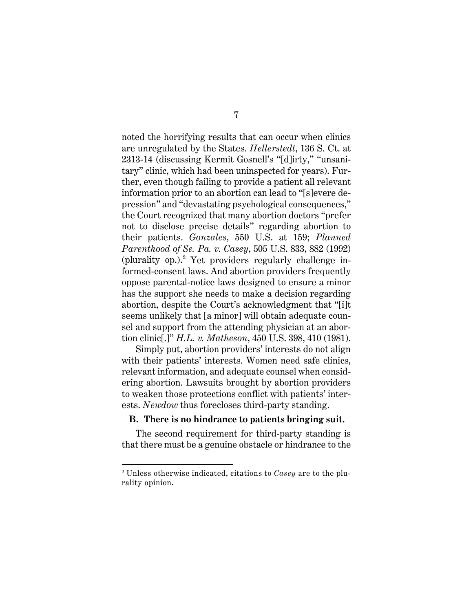noted the horrifying results that can occur when clinics are unregulated by the States. *Hellerstedt*, 136 S. Ct. at 2313-14 (discussing Kermit Gosnell's "[d]irty," "unsanitary" clinic, which had been uninspected for years). Further, even though failing to provide a patient all relevant information prior to an abortion can lead to "[s]evere depression" and "devastating psychological consequences," the Court recognized that many abortion doctors "prefer not to disclose precise details" regarding abortion to their patients. *Gonzales*, 550 U.S. at 159; *Planned Parenthood of Se. Pa. v. Casey*, 505 U.S. 833, 882 (1992) (plurality op.).<sup>[2](#page-17-2)</sup> Yet providers regularly challenge informed-consent laws. And abortion providers frequently oppose parental-notice laws designed to ensure a minor has the support she needs to make a decision regarding abortion, despite the Court's acknowledgment that "[i]t seems unlikely that [a minor] will obtain adequate counsel and support from the attending physician at an abortion clinic[.]" *H.L. v. Matheson*, 450 U.S. 398, 410 (1981).

<span id="page-17-1"></span>Simply put, abortion providers' interests do not align with their patients' interests. Women need safe clinics, relevant information, and adequate counsel when considering abortion. Lawsuits brought by abortion providers to weaken those protections conflict with patients' interests. *Newdow* thus forecloses third-party standing.

#### <span id="page-17-0"></span>**B. There is no hindrance to patients bringing suit.**

The second requirement for third-party standing is that there must be a genuine obstacle or hindrance to the

l

<span id="page-17-2"></span><sup>2</sup> Unless otherwise indicated, citations to *Casey* are to the plurality opinion.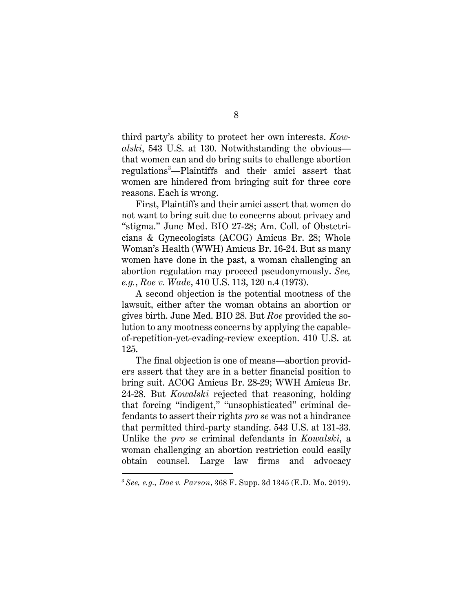third party's ability to protect her own interests. *Kowalski*, 543 U.S. at 130. Notwithstanding the obvious that women can and do bring suits to challenge abortion regulations[3](#page-18-1) —Plaintiffs and their amici assert that women are hindered from bringing suit for three core reasons. Each is wrong.

First, Plaintiffs and their amici assert that women do not want to bring suit due to concerns about privacy and "stigma." June Med. BIO 27-28; Am. Coll. of Obstetricians & Gynecologists (ACOG) Amicus Br. 28; Whole Woman's Health (WWH) Amicus Br. 16-24. But as many women have done in the past, a woman challenging an abortion regulation may proceed pseudonymously. *See, e.g.*, *Roe v. Wade*, 410 U.S. 113, 120 n.4 (1973).

A second objection is the potential mootness of the lawsuit, either after the woman obtains an abortion or gives birth. June Med. BIO 28. But *Roe* provided the solution to any mootness concerns by applying the capableof-repetition-yet-evading-review exception. 410 U.S. at 125.

The final objection is one of means—abortion providers assert that they are in a better financial position to bring suit. ACOG Amicus Br. 28-29; WWH Amicus Br. 24-28. But *Kowalski* rejected that reasoning, holding that forcing "indigent," "unsophisticated" criminal defendants to assert their rights *pro se* was not a hindrance that permitted third-party standing. 543 U.S. at 131-33. Unlike the *pro se* criminal defendants in *Kowalski*, a woman challenging an abortion restriction could easily obtain counsel. Large law firms and advocacy

<span id="page-18-0"></span>l

<span id="page-18-1"></span><sup>3</sup> *See, e.g., Doe v. Parson*, 368 F. Supp. 3d 1345 (E.D. Mo. 2019).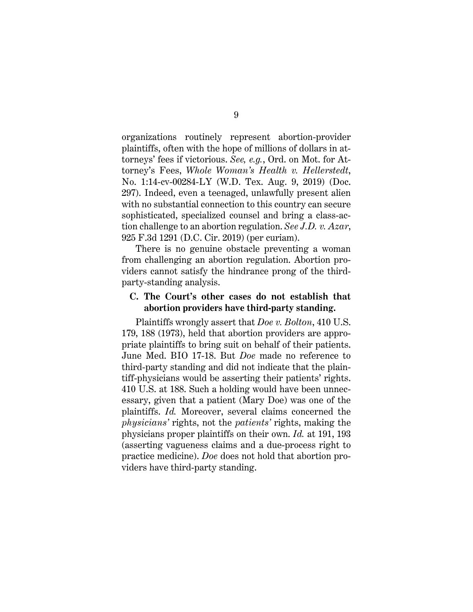<span id="page-19-2"></span>organizations routinely represent abortion-provider plaintiffs, often with the hope of millions of dollars in attorneys' fees if victorious. *See, e.g.*, Ord. on Mot. for Attorney's Fees, *Whole Woman's Health v. Hellerstedt*, No. 1:14-cv-00284-LY (W.D. Tex. Aug. 9, 2019) (Doc. 297). Indeed, even a teenaged, unlawfully present alien with no substantial connection to this country can secure sophisticated, specialized counsel and bring a class-action challenge to an abortion regulation. *See J.D. v. Azar*, 925 F.3d 1291 (D.C. Cir. 2019) (per curiam).

<span id="page-19-1"></span>There is no genuine obstacle preventing a woman from challenging an abortion regulation. Abortion providers cannot satisfy the hindrance prong of the thirdparty-standing analysis.

### <span id="page-19-0"></span>**C. The Court's other cases do not establish that abortion providers have third-party standing.**

Plaintiffs wrongly assert that *Doe v. Bolton*, 410 U.S. 179, 188 (1973), held that abortion providers are appropriate plaintiffs to bring suit on behalf of their patients. June Med. BIO 17-18. But *Doe* made no reference to third-party standing and did not indicate that the plaintiff-physicians would be asserting their patients' rights. 410 U.S. at 188. Such a holding would have been unnecessary, given that a patient (Mary Doe) was one of the plaintiffs. *Id.* Moreover, several claims concerned the *physicians'* rights, not the *patients'* rights, making the physicians proper plaintiffs on their own. *Id.* at 191, 193 (asserting vagueness claims and a due-process right to practice medicine). *Doe* does not hold that abortion providers have third-party standing.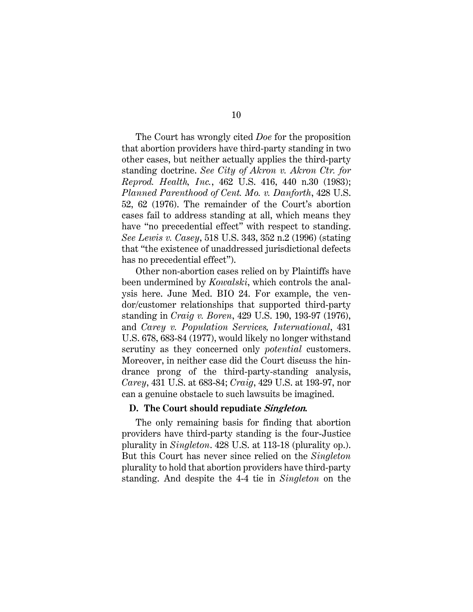<span id="page-20-5"></span><span id="page-20-2"></span>The Court has wrongly cited *Doe* for the proposition that abortion providers have third-party standing in two other cases, but neither actually applies the third-party standing doctrine. *See City of Akron v. Akron Ctr. for Reprod. Health, Inc.*, 462 U.S. 416, 440 n.30 (1983); *Planned Parenthood of Cent. Mo. v. Danforth*, 428 U.S. 52, 62 (1976). The remainder of the Court's abortion cases fail to address standing at all, which means they have "no precedential effect" with respect to standing. *See Lewis v. Casey*, 518 U.S. 343, 352 n.2 (1996) (stating that "the existence of unaddressed jurisdictional defects has no precedential effect").

<span id="page-20-4"></span><span id="page-20-3"></span><span id="page-20-1"></span>Other non-abortion cases relied on by Plaintiffs have been undermined by *Kowalski*, which controls the analysis here. June Med. BIO 24. For example, the vendor/customer relationships that supported third-party standing in *Craig v. Boren*, 429 U.S. 190, 193-97 (1976), and *Carey v. Population Services, International*, 431 U.S. 678, 683-84 (1977), would likely no longer withstand scrutiny as they concerned only *potential* customers. Moreover, in neither case did the Court discuss the hindrance prong of the third-party-standing analysis, *Carey*, 431 U.S. at 683-84; *Craig*, 429 U.S. at 193-97, nor can a genuine obstacle to such lawsuits be imagined.

#### <span id="page-20-0"></span>**D. The Court should repudiate Singleton.**

The only remaining basis for finding that abortion providers have third-party standing is the four-Justice plurality in *Singleton*. 428 U.S. at 113-18 (plurality op.). But this Court has never since relied on the *Singleton* plurality to hold that abortion providers have third-party standing. And despite the 4-4 tie in *Singleton* on the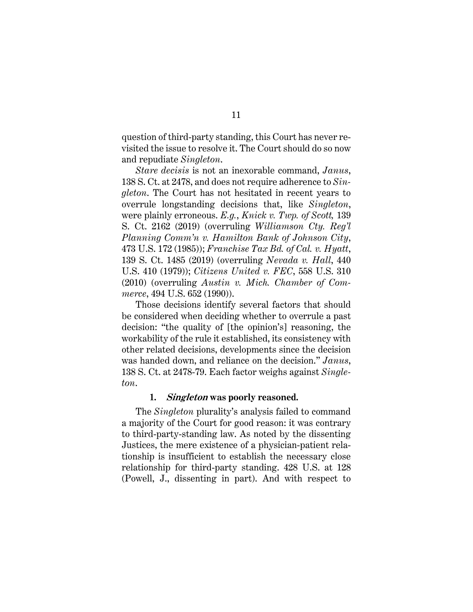question of third-party standing, this Court has never revisited the issue to resolve it. The Court should do so now and repudiate *Singleton*.

<span id="page-21-6"></span><span id="page-21-4"></span>*Stare decisis* is not an inexorable command, *Janus*, 138 S. Ct. at 2478, and does not require adherence to *Singleton*. The Court has not hesitated in recent years to overrule longstanding decisions that, like *Singleton*, were plainly erroneous. *E.g.*, *Knick v. Twp. of Scott,* 139 S. Ct. 2162 (2019) (overruling *Williamson Cty. Reg'l Planning Comm'n v. Hamilton Bank of Johnson City*, 473 U.S. 172 (1985)); *Franchise Tax Bd. of Cal. v. Hyatt*, 139 S. Ct. 1485 (2019) (overruling *Nevada v. Hall*, 440 U.S. 410 (1979)); *Citizens United v. FEC*, 558 U.S. 310 (2010) (overruling *Austin v. Mich. Chamber of Commerce*, 494 U.S. 652 (1990)).

<span id="page-21-5"></span><span id="page-21-3"></span><span id="page-21-2"></span><span id="page-21-1"></span>Those decisions identify several factors that should be considered when deciding whether to overrule a past decision: "the quality of [the opinion's] reasoning, the workability of the rule it established, its consistency with other related decisions, developments since the decision was handed down, and reliance on the decision." *Janus*, 138 S. Ct. at 2478-79. Each factor weighs against *Singleton*.

#### **1. Singleton was poorly reasoned.**

<span id="page-21-0"></span>The *Singleton* plurality's analysis failed to command a majority of the Court for good reason: it was contrary to third-party-standing law. As noted by the dissenting Justices, the mere existence of a physician-patient relationship is insufficient to establish the necessary close relationship for third-party standing. 428 U.S. at 128 (Powell, J., dissenting in part). And with respect to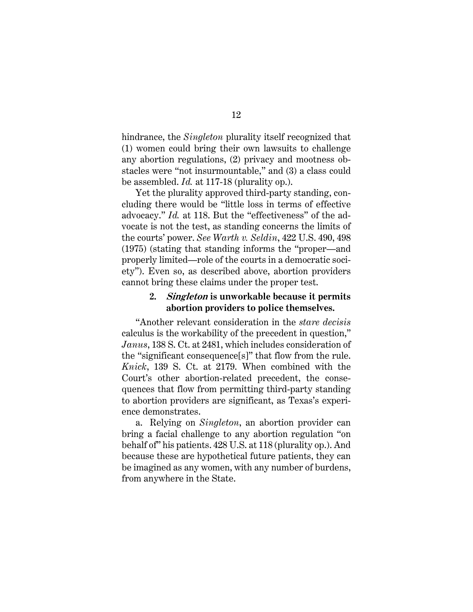hindrance, the *Singleton* plurality itself recognized that (1) women could bring their own lawsuits to challenge any abortion regulations, (2) privacy and mootness obstacles were "not insurmountable," and (3) a class could be assembled. *Id.* at 117-18 (plurality op.).

Yet the plurality approved third-party standing, concluding there would be "little loss in terms of effective advocacy." *Id.* at 118. But the "effectiveness" of the advocate is not the test, as standing concerns the limits of the courts' power. *See Warth v. Seldin*, 422 U.S. 490, 498 (1975) (stating that standing informs the "proper—and properly limited—role of the courts in a democratic society"). Even so, as described above, abortion providers cannot bring these claims under the proper test.

## <span id="page-22-2"></span><span id="page-22-0"></span>**2. Singleton is unworkable because it permits abortion providers to police themselves.**

<span id="page-22-1"></span>"Another relevant consideration in the *stare decisis* calculus is the workability of the precedent in question," *Janus*, 138 S. Ct. at 2481, which includes consideration of the "significant consequence[s]" that flow from the rule. *Knick*, 139 S. Ct. at 2179. When combined with the Court's other abortion-related precedent, the consequences that flow from permitting third-party standing to abortion providers are significant, as Texas's experience demonstrates.

a. Relying on *Singleton*, an abortion provider can bring a facial challenge to any abortion regulation "on behalf of" his patients. 428 U.S. at 118 (plurality op.). And because these are hypothetical future patients, they can be imagined as any women, with any number of burdens, from anywhere in the State.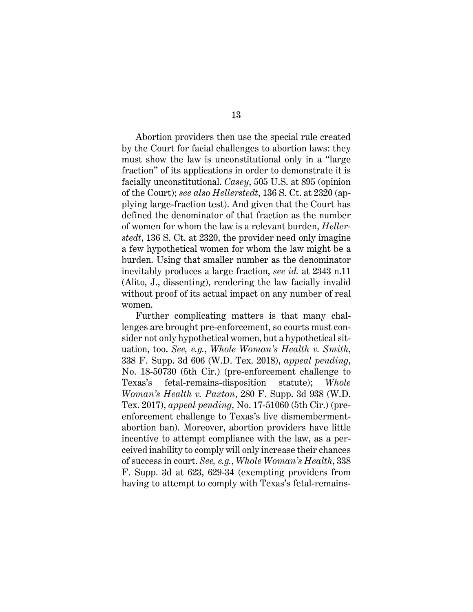Abortion providers then use the special rule created by the Court for facial challenges to abortion laws: they must show the law is unconstitutional only in a "large fraction" of its applications in order to demonstrate it is facially unconstitutional. *Casey*, 505 U.S. at 895 (opinion of the Court); *see also Hellerstedt*, 136 S. Ct. at 2320 (applying large-fraction test). And given that the Court has defined the denominator of that fraction as the number of women for whom the law is a relevant burden, *Hellerstedt*, 136 S. Ct. at 2320, the provider need only imagine a few hypothetical women for whom the law might be a burden. Using that smaller number as the denominator inevitably produces a large fraction, *see id.* at 2343 n.11 (Alito, J., dissenting), rendering the law facially invalid without proof of its actual impact on any number of real women.

<span id="page-23-1"></span><span id="page-23-0"></span>Further complicating matters is that many challenges are brought pre-enforcement, so courts must consider not only hypothetical women, but a hypothetical situation, too. *See, e.g.*, *Whole Woman's Health v. Smith*, 338 F. Supp. 3d 606 (W.D. Tex. 2018), *appeal pending*, No. 18-50730 (5th Cir.) (pre-enforcement challenge to Texas's fetal-remains-disposition statute); *Whole Woman's Health v. Paxton*, 280 F. Supp. 3d 938 (W.D. Tex. 2017), *appeal pending*, No. 17-51060 (5th Cir.) (preenforcement challenge to Texas's live dismembermentabortion ban). Moreover, abortion providers have little incentive to attempt compliance with the law, as a perceived inability to comply will only increase their chances of success in court. *See, e.g.*, *Whole Woman's Health*, 338 F. Supp. 3d at 623, 629-34 (exempting providers from having to attempt to comply with Texas's fetal-remains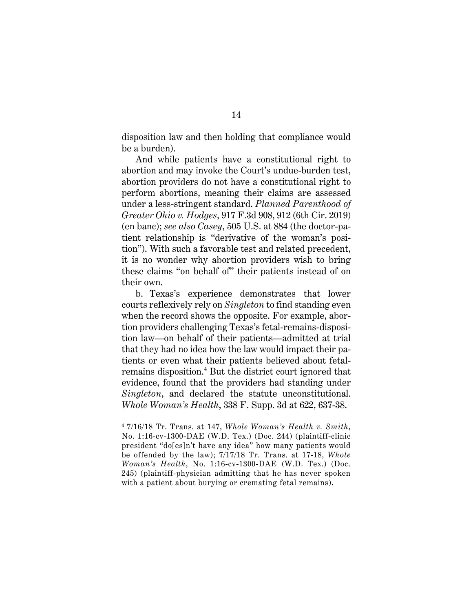disposition law and then holding that compliance would be a burden).

<span id="page-24-0"></span>And while patients have a constitutional right to abortion and may invoke the Court's undue-burden test, abortion providers do not have a constitutional right to perform abortions, meaning their claims are assessed under a less-stringent standard. *Planned Parenthood of Greater Ohio v. Hodges*, 917 F.3d 908, 912 (6th Cir. 2019) (en banc); *see also Casey*, 505 U.S. at 884 (the doctor-patient relationship is "derivative of the woman's position"). With such a favorable test and related precedent, it is no wonder why abortion providers wish to bring these claims "on behalf of" their patients instead of on their own.

b. Texas's experience demonstrates that lower courts reflexively rely on *Singleton* to find standing even when the record shows the opposite. For example, abortion providers challenging Texas's fetal-remains-disposition law—on behalf of their patients—admitted at trial that they had no idea how the law would impact their patients or even what their patients believed about fetal-remains disposition.<sup>[4](#page-24-3)</sup> But the district court ignored that evidence, found that the providers had standing under *Singleton*, and declared the statute unconstitutional. *Whole Woman's Health*, 338 F. Supp. 3d at 622, 637-38.

<span id="page-24-3"></span><span id="page-24-2"></span><span id="page-24-1"></span><sup>4</sup> 7/16/18 Tr. Trans. at 147, *Whole Woman's Health v. Smith*, No. 1:16-cv-1300-DAE (W.D. Tex.) (Doc. 244) (plaintiff-clinic president "do[es]n't have any idea" how many patients would be offended by the law); 7/17/18 Tr. Trans. at 17-18, *Whole Woman's Health*, No. 1:16-cv-1300-DAE (W.D. Tex.) (Doc. 245) (plaintiff-physician admitting that he has never spoken with a patient about burying or cremating fetal remains).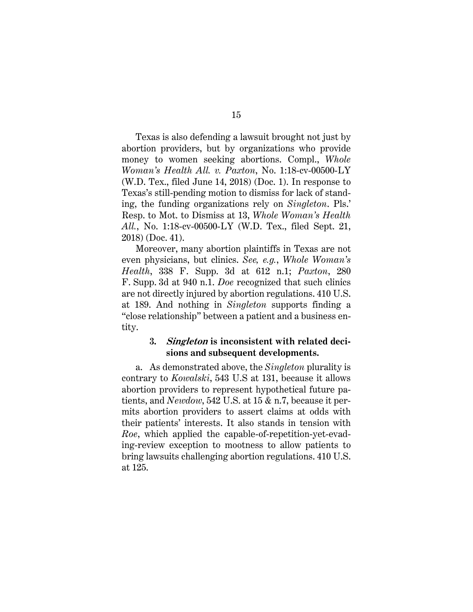Texas is also defending a lawsuit brought not just by abortion providers, but by organizations who provide money to women seeking abortions. Compl., *Whole Woman's Health All. v. Paxton*, No. 1:18-cv-00500-LY (W.D. Tex., filed June 14, 2018) (Doc. 1). In response to Texas's still-pending motion to dismiss for lack of standing, the funding organizations rely on *Singleton*. Pls.' Resp. to Mot. to Dismiss at 13, *Whole Woman's Health All.*, No. 1:18-cv-00500-LY (W.D. Tex., filed Sept. 21, 2018) (Doc. 41).

Moreover, many abortion plaintiffs in Texas are not even physicians, but clinics. *See, e.g.*, *Whole Woman's Health*, 338 F. Supp. 3d at 612 n.1; *Paxton*, 280 F. Supp. 3d at 940 n.1. *Doe* recognized that such clinics are not directly injured by abortion regulations. 410 U.S. at 189. And nothing in *Singleton* supports finding a "close relationship" between a patient and a business entity.

### <span id="page-25-4"></span><span id="page-25-1"></span><span id="page-25-0"></span>**3. Singleton is inconsistent with related decisions and subsequent developments.**

<span id="page-25-3"></span><span id="page-25-2"></span>a. As demonstrated above, the *Singleton* plurality is contrary to *Kowalski*, 543 U.S at 131, because it allows abortion providers to represent hypothetical future patients, and *Newdow*, 542 U.S. at 15 & n.7, because it permits abortion providers to assert claims at odds with their patients' interests. It also stands in tension with *Roe*, which applied the capable-of-repetition-yet-evading-review exception to mootness to allow patients to bring lawsuits challenging abortion regulations. 410 U.S. at 125.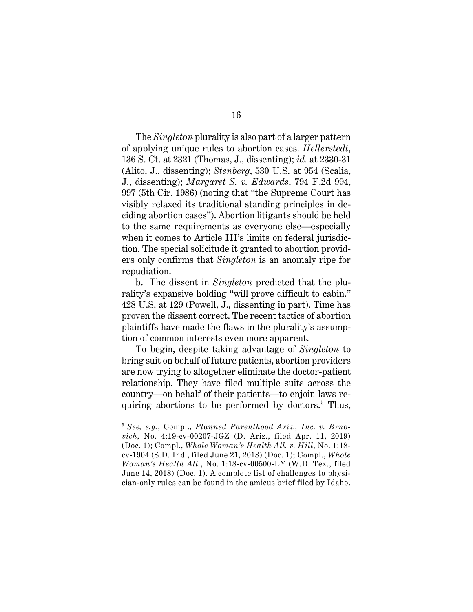<span id="page-26-1"></span><span id="page-26-0"></span>The *Singleton* plurality is also part of a larger pattern of applying unique rules to abortion cases. *Hellerstedt*, 136 S. Ct. at 2321 (Thomas, J., dissenting); *id.* at 2330-31 (Alito, J., dissenting); *Stenberg*, 530 U.S. at 954 (Scalia, J., dissenting); *Margaret S. v. Edwards*, 794 F.2d 994, 997 (5th Cir. 1986) (noting that "the Supreme Court has visibly relaxed its traditional standing principles in deciding abortion cases"). Abortion litigants should be held to the same requirements as everyone else—especially when it comes to Article III's limits on federal jurisdiction. The special solicitude it granted to abortion providers only confirms that *Singleton* is an anomaly ripe for repudiation.

b. The dissent in *Singleton* predicted that the plurality's expansive holding "will prove difficult to cabin." 428 U.S. at 129 (Powell, J., dissenting in part). Time has proven the dissent correct. The recent tactics of abortion plaintiffs have made the flaws in the plurality's assumption of common interests even more apparent.

To begin, despite taking advantage of *Singleton* to bring suit on behalf of future patients, abortion providers are now trying to altogether eliminate the doctor-patient relationship. They have filed multiple suits across the country—on behalf of their patients—to enjoin laws requiring abortions to be performed by doctors. $5$  Thus,

<span id="page-26-4"></span><span id="page-26-3"></span><span id="page-26-2"></span><sup>5</sup> *See, e.g.*, Compl., *Planned Parenthood Ariz., Inc. v. Brnovich*, No. 4:19-cv-00207-JGZ (D. Ariz., filed Apr. 11, 2019) (Doc. 1); Compl., *Whole Woman's Health All. v. Hill*, No. 1:18 cv-1904 (S.D. Ind., filed June 21, 2018) (Doc. 1); Compl., *Whole Woman's Health All.*, No. 1:18-cv-00500-LY (W.D. Tex., filed June 14, 2018) (Doc. 1). A complete list of challenges to physician-only rules can be found in the amicus brief filed by Idaho.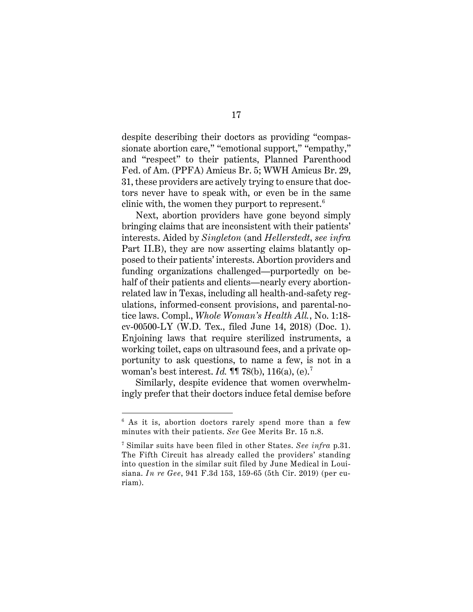despite describing their doctors as providing "compassionate abortion care," "emotional support," "empathy," and "respect" to their patients, Planned Parenthood Fed. of Am. (PPFA) Amicus Br. 5; WWH Amicus Br. 29, 31, these providers are actively trying to ensure that doctors never have to speak with, or even be in the same clinic with, the women they purport to represent.<sup>[6](#page-27-1)</sup>

Next, abortion providers have gone beyond simply bringing claims that are inconsistent with their patients' interests. Aided by *Singleton* (and *Hellerstedt*, *see infra*  Part II.B), they are now asserting claims blatantly opposed to their patients' interests. Abortion providers and funding organizations challenged—purportedly on behalf of their patients and clients—nearly every abortionrelated law in Texas, including all health-and-safety regulations, informed-consent provisions, and parental-notice laws. Compl., *Whole Woman's Health All.*, No. 1:18 cv-00500-LY (W.D. Tex., filed June 14, 2018) (Doc. 1). Enjoining laws that require sterilized instruments, a working toilet, caps on ultrasound fees, and a private opportunity to ask questions, to name a few, is not in a woman's best interest. *Id.* ¶¶ 78(b), 116(a), (e).[7](#page-27-2)

Similarly, despite evidence that women overwhelmingly prefer that their doctors induce fetal demise before

<span id="page-27-1"></span><sup>&</sup>lt;sup>6</sup> As it is, abortion doctors rarely spend more than a few minutes with their patients. *See* Gee Merits Br. 15 n.8.

<span id="page-27-2"></span><span id="page-27-0"></span><sup>7</sup> Similar suits have been filed in other States. *See infra* p.31. The Fifth Circuit has already called the providers' standing into question in the similar suit filed by June Medical in Louisiana. *In re Gee*, 941 F.3d 153, 159-65 (5th Cir. 2019) (per curiam).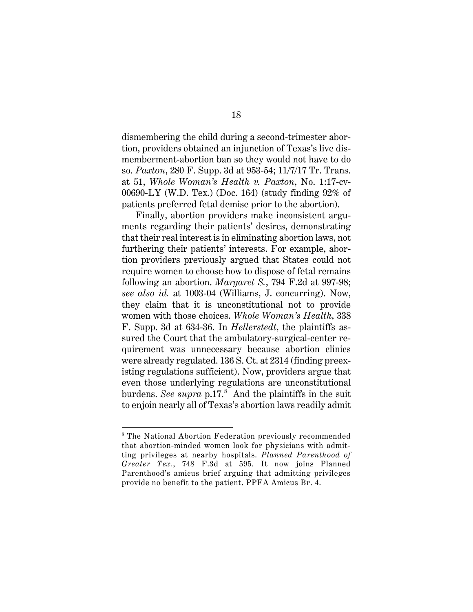<span id="page-28-2"></span>dismembering the child during a second-trimester abortion, providers obtained an injunction of Texas's live dismemberment-abortion ban so they would not have to do so. *Paxton*, 280 F. Supp. 3d at 953-54; 11/7/17 Tr. Trans. at 51, *Whole Woman's Health v. Paxton*, No. 1:17-cv-00690-LY (W.D. Tex.) (Doc. 164) (study finding 92% of patients preferred fetal demise prior to the abortion).

<span id="page-28-4"></span><span id="page-28-3"></span><span id="page-28-0"></span>Finally, abortion providers make inconsistent arguments regarding their patients' desires, demonstrating that their real interest is in eliminating abortion laws, not furthering their patients' interests. For example, abortion providers previously argued that States could not require women to choose how to dispose of fetal remains following an abortion. *Margaret S.*, 794 F.2d at 997-98; *see also id.* at 1003-04 (Williams, J. concurring). Now, they claim that it is unconstitutional not to provide women with those choices. *Whole Woman's Health*, 338 F. Supp. 3d at 634-36. In *Hellerstedt*, the plaintiffs assured the Court that the ambulatory-surgical-center requirement was unnecessary because abortion clinics were already regulated. 136 S. Ct. at 2314 (finding preexisting regulations sufficient). Now, providers argue that even those underlying regulations are unconstitutional burdens. *See supra* p.17. [8](#page-28-5) And the plaintiffs in the suit to enjoin nearly all of Texas's abortion laws readily admit

<span id="page-28-5"></span><span id="page-28-1"></span><sup>8</sup> The National Abortion Federation previously recommended that abortion-minded women look for physicians with admitting privileges at nearby hospitals. *Planned Parenthood of Greater Tex.*, 748 F.3d at 595. It now joins Planned Parenthood's amicus brief arguing that admitting privileges provide no benefit to the patient. PPFA Amicus Br. 4.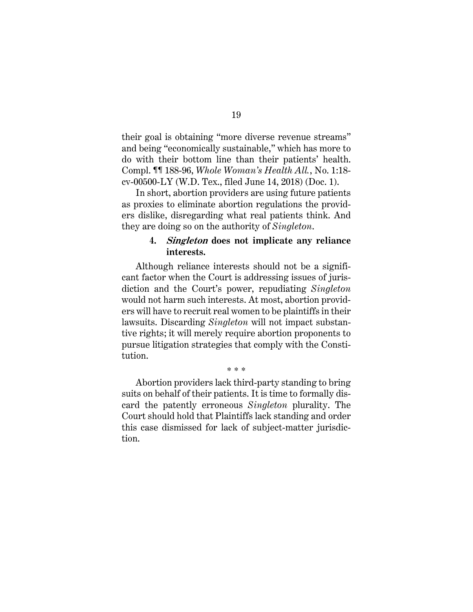their goal is obtaining "more diverse revenue streams" and being "economically sustainable," which has more to do with their bottom line than their patients' health. Compl. ¶¶ 188-96, *Whole Woman's Health All.*, No. 1:18 cv-00500-LY (W.D. Tex., filed June 14, 2018) (Doc. 1).

In short, abortion providers are using future patients as proxies to eliminate abortion regulations the providers dislike, disregarding what real patients think. And they are doing so on the authority of *Singleton*.

#### <span id="page-29-0"></span>**4. Singleton does not implicate any reliance interests.**

Although reliance interests should not be a significant factor when the Court is addressing issues of jurisdiction and the Court's power, repudiating *Singleton* would not harm such interests. At most, abortion providers will have to recruit real women to be plaintiffs in their lawsuits. Discarding *Singleton* will not impact substantive rights; it will merely require abortion proponents to pursue litigation strategies that comply with the Constitution.

#### \* \* \*

Abortion providers lack third-party standing to bring suits on behalf of their patients. It is time to formally discard the patently erroneous *Singleton* plurality. The Court should hold that Plaintiffs lack standing and order this case dismissed for lack of subject-matter jurisdiction.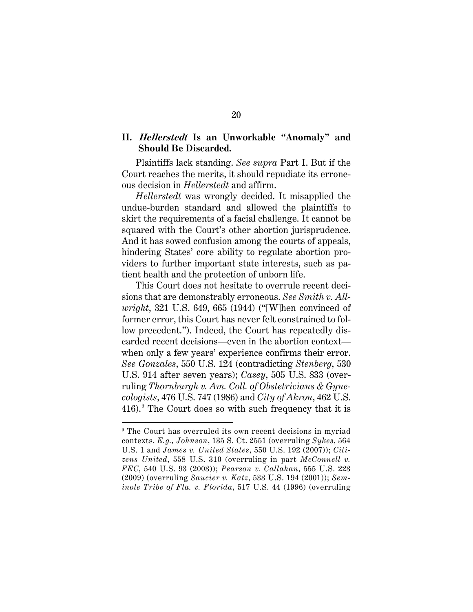## <span id="page-30-0"></span>**II. Hellerstedt Is an Unworkable "Anomaly" and Should Be Discarded.**

Plaintiffs lack standing. *See supra* Part I. But if the Court reaches the merits, it should repudiate its erroneous decision in *Hellerstedt* and affirm.

*Hellerstedt* was wrongly decided. It misapplied the undue-burden standard and allowed the plaintiffs to skirt the requirements of a facial challenge. It cannot be squared with the Court's other abortion jurisprudence. And it has sowed confusion among the courts of appeals, hindering States' core ability to regulate abortion providers to further important state interests, such as patient health and the protection of unborn life.

This Court does not hesitate to overrule recent decisions that are demonstrably erroneous. *See Smith v. Allwright*, 321 U.S. 649, 665 (1944) ("[W]hen convinced of former error, this Court has never felt constrained to follow precedent."). Indeed, the Court has repeatedly discarded recent decisions—even in the abortion context when only a few years' experience confirms their error. *See Gonzales*, 550 U.S. 124 (contradicting *Stenberg*, 530 U.S. 914 after seven years); *Casey*, 505 U.S. 833 (overruling *Thornburgh v. Am. Coll. of Obstetricians & Gynecologists*, 476 U.S. 747 (1986) and *City of Akron*, 462 U.S. 416). The Court does so with such frequency that it is

<span id="page-30-11"></span><span id="page-30-10"></span><span id="page-30-9"></span><span id="page-30-2"></span><span id="page-30-1"></span>l

<span id="page-30-12"></span><span id="page-30-8"></span><span id="page-30-7"></span><span id="page-30-6"></span><span id="page-30-5"></span><span id="page-30-4"></span><span id="page-30-3"></span><sup>&</sup>lt;sup>9</sup> The Court has overruled its own recent decisions in myriad contexts. *E.g., Johnson*, 135 S. Ct. 2551 (overruling *Sykes*, 564 U.S. 1 and *James v. United States*, 550 U.S. 192 (2007)); *Citizens United*, 558 U.S. 310 (overruling in part *McConnell v. FEC*, 540 U.S. 93 (2003)); *Pearson v. Callahan*, 555 U.S. 223 (2009) (overruling *Saucier v. Katz*, 533 U.S. 194 (2001)); *Seminole Tribe of Fla. v. Florida*, 517 U.S. 44 (1996) (overruling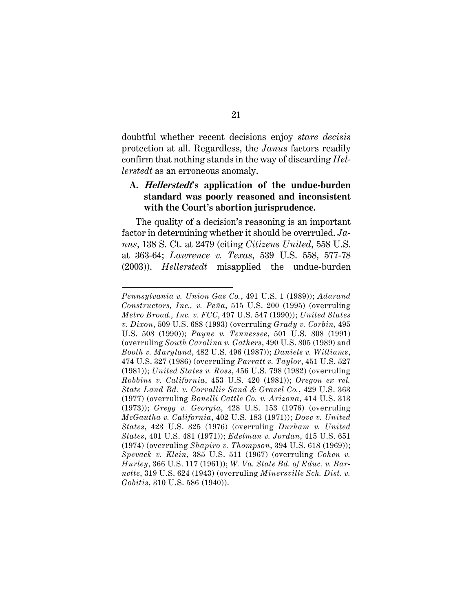doubtful whether recent decisions enjoy *stare decisis* protection at all. Regardless, the *Janus* factors readily confirm that nothing stands in the way of discarding *Hellerstedt* as an erroneous anomaly.

## <span id="page-31-0"></span>**A. Hellerstedt's application of the undue-burden standard was poorly reasoned and inconsistent with the Court's abortion jurisprudence.**

<span id="page-31-4"></span>The quality of a decision's reasoning is an important factor in determining whether it should be overruled. *Janus*, 138 S. Ct. at 2479 (citing *Citizens United*, 558 U.S. at 363-64; *Lawrence v. Texas*, 539 U.S. 558, 577-78 (2003)). *Hellerstedt* misapplied the undue-burden

<span id="page-31-24"></span><span id="page-31-12"></span><span id="page-31-1"></span>l

<span id="page-31-26"></span><span id="page-31-25"></span><span id="page-31-23"></span><span id="page-31-22"></span><span id="page-31-21"></span><span id="page-31-20"></span><span id="page-31-19"></span><span id="page-31-18"></span><span id="page-31-17"></span><span id="page-31-16"></span><span id="page-31-15"></span><span id="page-31-14"></span><span id="page-31-13"></span><span id="page-31-11"></span><span id="page-31-10"></span><span id="page-31-9"></span><span id="page-31-8"></span><span id="page-31-7"></span><span id="page-31-6"></span><span id="page-31-5"></span><span id="page-31-3"></span><span id="page-31-2"></span>*Pennsylvania v. Union Gas Co.*, 491 U.S. 1 (1989)); *Adarand Constructors, Inc., v. Peña*, 515 U.S. 200 (1995) (overruling *Metro Broad., Inc. v. FCC*, 497 U.S. 547 (1990)); *United States v. Dixon*, 509 U.S. 688 (1993) (overruling *Grady v. Corbin*, 495 U.S. 508 (1990)); *Payne v. Tennessee*, 501 U.S. 808 (1991) (overruling *South Carolina v. Gathers*, 490 U.S. 805 (1989) and *Booth v. Maryland*, 482 U.S. 496 (1987)); *Daniels v. Williams*, 474 U.S. 327 (1986) (overruling *Parratt v. Taylor*, 451 U.S. 527 (1981)); *United States v. Ross*, 456 U.S. 798 (1982) (overruling *Robbins v. California*, 453 U.S. 420 (1981)); *Oregon ex rel. State Land Bd. v. Corvallis Sand & Gravel Co.*, 429 U.S. 363 (1977) (overruling *Bonelli Cattle Co. v. Arizona*, 414 U.S. 313 (1973)); *Gregg v. Georgia*, 428 U.S. 153 (1976) (overruling *McGautha v. California*, 402 U.S. 183 (1971)); *Dove v. United States*, 423 U.S. 325 (1976) (overruling *Durham v. United States*, 401 U.S. 481 (1971)); *Edelman v. Jordan*, 415 U.S. 651 (1974) (overruling *Shapiro v. Thompson*, 394 U.S. 618 (1969)); *Spevack v. Klein*, 385 U.S. 511 (1967) (overruling *Cohen v. Hurley*, 366 U.S. 117 (1961)); *W. Va. State Bd. of Educ. v. Barnette*, 319 U.S. 624 (1943) (overruling *Minersville Sch. Dist. v. Gobitis*, 310 U.S. 586 (1940)).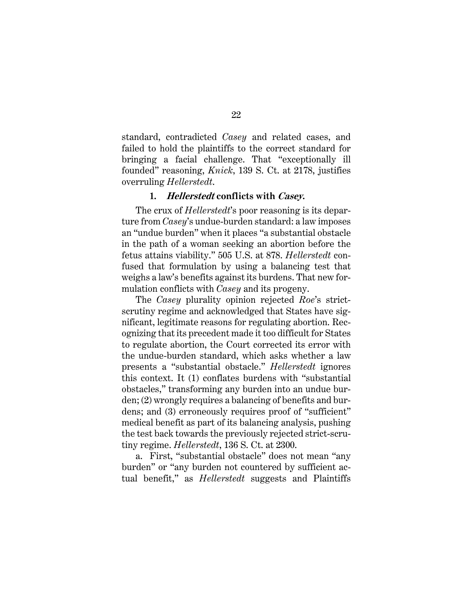standard, contradicted *Casey* and related cases, and failed to hold the plaintiffs to the correct standard for bringing a facial challenge. That "exceptionally ill founded" reasoning, *Knick*, 139 S. Ct. at 2178, justifies overruling *Hellerstedt*.

#### <span id="page-32-1"></span>**1. Hellerstedt conflicts with Casey.**

<span id="page-32-0"></span>The crux of *Hellerstedt*'s poor reasoning is its departure from *Casey*'s undue-burden standard: a law imposes an "undue burden" when it places "a substantial obstacle in the path of a woman seeking an abortion before the fetus attains viability." 505 U.S. at 878. *Hellerstedt* confused that formulation by using a balancing test that weighs a law's benefits against its burdens. That new formulation conflicts with *Casey* and its progeny.

The *Casey* plurality opinion rejected *Roe*'s strictscrutiny regime and acknowledged that States have significant, legitimate reasons for regulating abortion. Recognizing that its precedent made it too difficult for States to regulate abortion, the Court corrected its error with the undue-burden standard, which asks whether a law presents a "substantial obstacle." *Hellerstedt* ignores this context. It (1) conflates burdens with "substantial obstacles," transforming any burden into an undue burden; (2) wrongly requires a balancing of benefits and burdens; and (3) erroneously requires proof of "sufficient" medical benefit as part of its balancing analysis, pushing the test back towards the previously rejected strict-scrutiny regime. *Hellerstedt*, 136 S. Ct. at 2300.

a. First, "substantial obstacle" does not mean "any burden" or "any burden not countered by sufficient actual benefit," as *Hellerstedt* suggests and Plaintiffs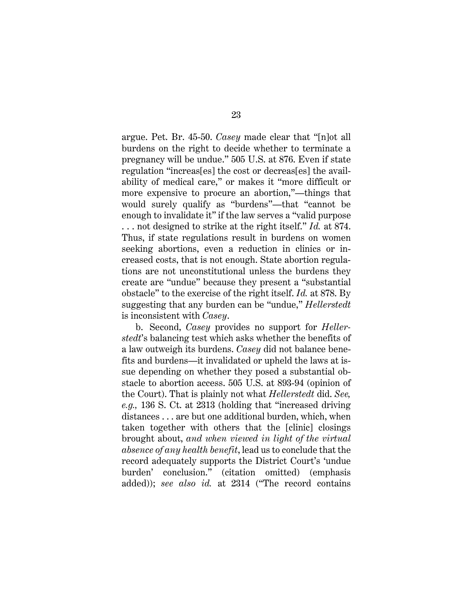argue. Pet. Br. 45-50. *Casey* made clear that "[n]ot all burdens on the right to decide whether to terminate a pregnancy will be undue." 505 U.S. at 876. Even if state regulation "increas[es] the cost or decreas[es] the availability of medical care," or makes it "more difficult or more expensive to procure an abortion,"—things that would surely qualify as "burdens"—that "cannot be enough to invalidate it" if the law serves a "valid purpose . . . not designed to strike at the right itself." *Id.* at 874. Thus, if state regulations result in burdens on women seeking abortions, even a reduction in clinics or increased costs, that is not enough. State abortion regulations are not unconstitutional unless the burdens they create are "undue" because they present a "substantial obstacle" to the exercise of the right itself. *Id.* at 878. By suggesting that any burden can be "undue," *Hellerstedt* is inconsistent with *Casey*.

b. Second, *Casey* provides no support for *Hellerstedt*'s balancing test which asks whether the benefits of a law outweigh its burdens. *Casey* did not balance benefits and burdens—it invalidated or upheld the laws at issue depending on whether they posed a substantial obstacle to abortion access. 505 U.S. at 893-94 (opinion of the Court). That is plainly not what *Hellerstedt* did. *See, e.g.,* 136 S. Ct. at 2313 (holding that "increased driving distances . . . are but one additional burden, which, when taken together with others that the [clinic] closings brought about, *and when viewed in light of the virtual absence of any health benefit*, lead us to conclude that the record adequately supports the District Court's 'undue burden' conclusion." (citation omitted) (emphasis added)); *see also id.* at 2314 ("The record contains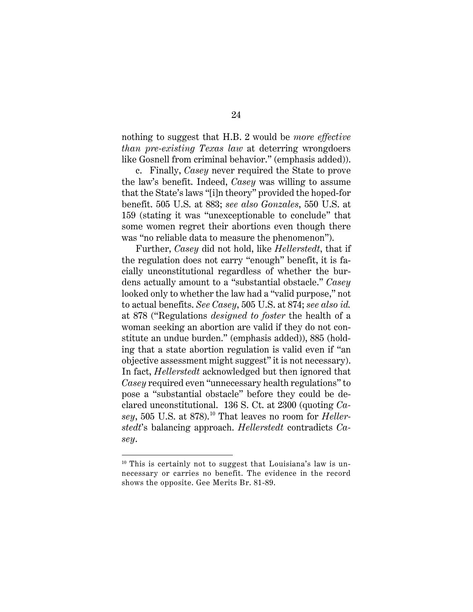nothing to suggest that H.B. 2 would be *more effective than pre-existing Texas law* at deterring wrongdoers like Gosnell from criminal behavior." (emphasis added)).

c. Finally, *Casey* never required the State to prove the law's benefit. Indeed, *Casey* was willing to assume that the State's laws "[i]n theory" provided the hoped-for benefit. 505 U.S. at 883; *see also Gonzales*, 550 U.S. at 159 (stating it was "unexceptionable to conclude" that some women regret their abortions even though there was "no reliable data to measure the phenomenon").

Further, *Casey* did not hold, like *Hellerstedt*, that if the regulation does not carry "enough" benefit, it is facially unconstitutional regardless of whether the burdens actually amount to a "substantial obstacle." *Casey*  looked only to whether the law had a "valid purpose," not to actual benefits. *See Casey*, 505 U.S. at 874; *see also id.* at 878 ("Regulations *designed to foster* the health of a woman seeking an abortion are valid if they do not constitute an undue burden." (emphasis added)), 885 (holding that a state abortion regulation is valid even if "an objective assessment might suggest" it is not necessary). In fact, *Hellerstedt* acknowledged but then ignored that *Casey* required even "unnecessary health regulations" to pose a "substantial obstacle" before they could be declared unconstitutional. 136 S. Ct. at 2300 (quoting *Ca-*sey, 505 U.S. at 878).<sup>[10](#page-34-0)</sup> That leaves no room for *Hellerstedt*'s balancing approach. *Hellerstedt* contradicts *Casey*.

l

<span id="page-34-0"></span> $10$  This is certainly not to suggest that Louisiana's law is unnecessary or carries no benefit. The evidence in the record shows the opposite. Gee Merits Br. 81-89.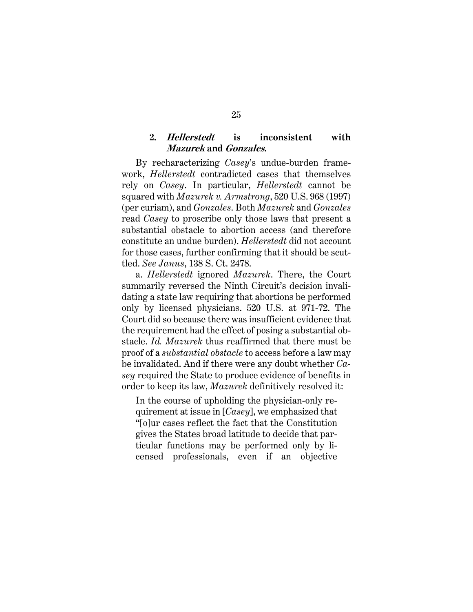## <span id="page-35-1"></span>**2. Hellerstedt is inconsistent with Mazurek and Gonzales.**

<span id="page-35-0"></span>By recharacterizing *Casey*'s undue-burden framework, *Hellerstedt* contradicted cases that themselves rely on *Casey*. In particular, *Hellerstedt* cannot be squared with *Mazurek v. Armstrong*, 520 U.S. 968 (1997) (per curiam), and *Gonzales*. Both *Mazurek* and *Gonzales* read *Casey* to proscribe only those laws that present a substantial obstacle to abortion access (and therefore constitute an undue burden). *Hellerstedt* did not account for those cases, further confirming that it should be scuttled. *See Janus*, 138 S. Ct. 2478.

a. *Hellerstedt* ignored *Mazurek*. There, the Court summarily reversed the Ninth Circuit's decision invalidating a state law requiring that abortions be performed only by licensed physicians. 520 U.S. at 971-72. The Court did so because there was insufficient evidence that the requirement had the effect of posing a substantial obstacle. *Id. Mazurek* thus reaffirmed that there must be proof of a *substantial obstacle* to access before a law may be invalidated. And if there were any doubt whether *Casey* required the State to produce evidence of benefits in order to keep its law, *Mazurek* definitively resolved it:

<span id="page-35-2"></span>In the course of upholding the physician-only requirement at issue in [*Casey*], we emphasized that "[o]ur cases reflect the fact that the Constitution gives the States broad latitude to decide that particular functions may be performed only by licensed professionals, even if an objective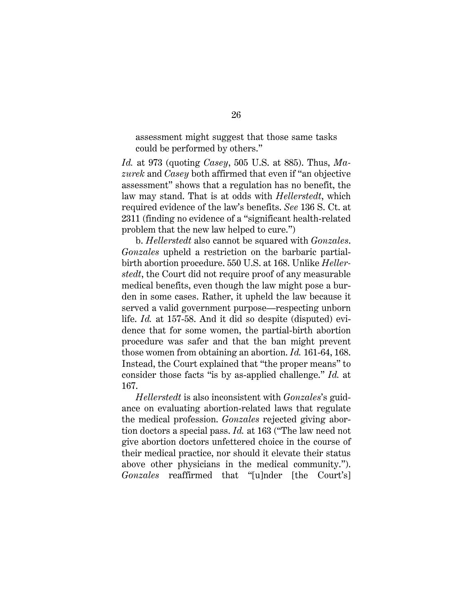assessment might suggest that those same tasks could be performed by others."

*Id.* at 973 (quoting *Casey*, 505 U.S. at 885). Thus, *Mazurek* and *Casey* both affirmed that even if "an objective assessment" shows that a regulation has no benefit, the law may stand. That is at odds with *Hellerstedt*, which required evidence of the law's benefits. *See* 136 S. Ct. at 2311 (finding no evidence of a "significant health-related problem that the new law helped to cure.")

b. *Hellerstedt* also cannot be squared with *Gonzales*. *Gonzales* upheld a restriction on the barbaric partialbirth abortion procedure. 550 U.S. at 168. Unlike *Hellerstedt*, the Court did not require proof of any measurable medical benefits, even though the law might pose a burden in some cases. Rather, it upheld the law because it served a valid government purpose—respecting unborn life. *Id.* at 157-58. And it did so despite (disputed) evidence that for some women, the partial-birth abortion procedure was safer and that the ban might prevent those women from obtaining an abortion. *Id.* 161-64, 168. Instead, the Court explained that "the proper means" to consider those facts "is by as-applied challenge." *Id.* at 167.

*Hellerstedt* is also inconsistent with *Gonzales*'s guidance on evaluating abortion-related laws that regulate the medical profession. *Gonzales* rejected giving abortion doctors a special pass. *Id.* at 163 ("The law need not give abortion doctors unfettered choice in the course of their medical practice, nor should it elevate their status above other physicians in the medical community."). *Gonzales* reaffirmed that "[u]nder [the Court's]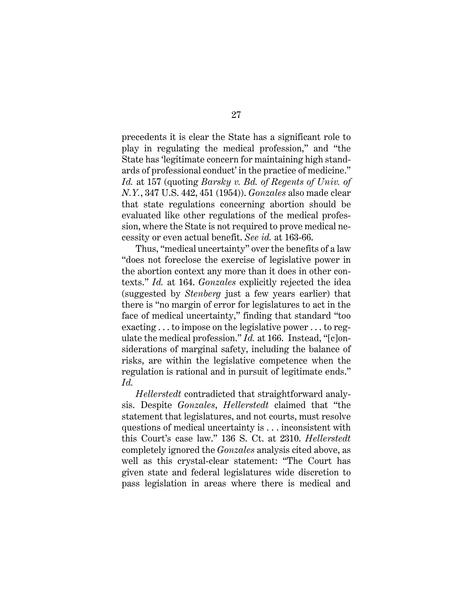<span id="page-37-0"></span>precedents it is clear the State has a significant role to play in regulating the medical profession," and "the State has 'legitimate concern for maintaining high standards of professional conduct' in the practice of medicine." *Id.* at 157 (quoting *Barsky v. Bd. of Regents of Univ. of N.Y.*, 347 U.S. 442, 451 (1954)). *Gonzales* also made clear that state regulations concerning abortion should be evaluated like other regulations of the medical profession, where the State is not required to prove medical necessity or even actual benefit. *See id.* at 163-66.

Thus, "medical uncertainty" over the benefits of a law "does not foreclose the exercise of legislative power in the abortion context any more than it does in other contexts." *Id.* at 164. *Gonzales* explicitly rejected the idea (suggested by *Stenberg* just a few years earlier) that there is "no margin of error for legislatures to act in the face of medical uncertainty," finding that standard "too exacting . . . to impose on the legislative power . . . to regulate the medical profession." *Id.* at 166. Instead, "[c]onsiderations of marginal safety, including the balance of risks, are within the legislative competence when the regulation is rational and in pursuit of legitimate ends." *Id.*

*Hellerstedt* contradicted that straightforward analysis. Despite *Gonzales*, *Hellerstedt* claimed that "the statement that legislatures, and not courts, must resolve questions of medical uncertainty is . . . inconsistent with this Court's case law." 136 S. Ct. at 2310. *Hellerstedt* completely ignored the *Gonzales* analysis cited above, as well as this crystal-clear statement: "The Court has given state and federal legislatures wide discretion to pass legislation in areas where there is medical and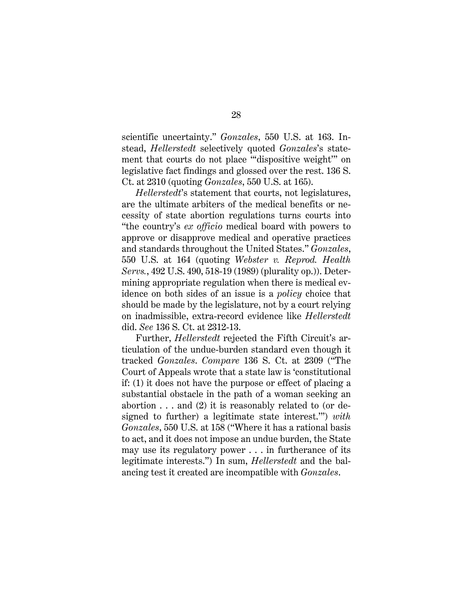scientific uncertainty." *Gonzales*, 550 U.S. at 163. Instead, *Hellerstedt* selectively quoted *Gonzales*'s statement that courts do not place "'dispositive weight'" on legislative fact findings and glossed over the rest. 136 S. Ct. at 2310 (quoting *Gonzales*, 550 U.S. at 165).

<span id="page-38-0"></span>*Hellerstedt*'s statement that courts, not legislatures, are the ultimate arbiters of the medical benefits or necessity of state abortion regulations turns courts into "the country's *ex officio* medical board with powers to approve or disapprove medical and operative practices and standards throughout the United States." *Gonzales*, 550 U.S. at 164 (quoting *Webster v. Reprod. Health Servs.*, 492 U.S. 490, 518-19 (1989) (plurality op.)). Determining appropriate regulation when there is medical evidence on both sides of an issue is a *policy* choice that should be made by the legislature, not by a court relying on inadmissible, extra-record evidence like *Hellerstedt* did. *See* 136 S. Ct. at 2312-13.

Further, *Hellerstedt* rejected the Fifth Circuit's articulation of the undue-burden standard even though it tracked *Gonzales*. *Compare* 136 S. Ct. at 2309 ("The Court of Appeals wrote that a state law is 'constitutional if: (1) it does not have the purpose or effect of placing a substantial obstacle in the path of a woman seeking an abortion  $\dots$  and (2) it is reasonably related to (or designed to further) a legitimate state interest.'") *with Gonzales*, 550 U.S. at 158 ("Where it has a rational basis to act, and it does not impose an undue burden, the State may use its regulatory power . . . in furtherance of its legitimate interests.") In sum, *Hellerstedt* and the balancing test it created are incompatible with *Gonzales*.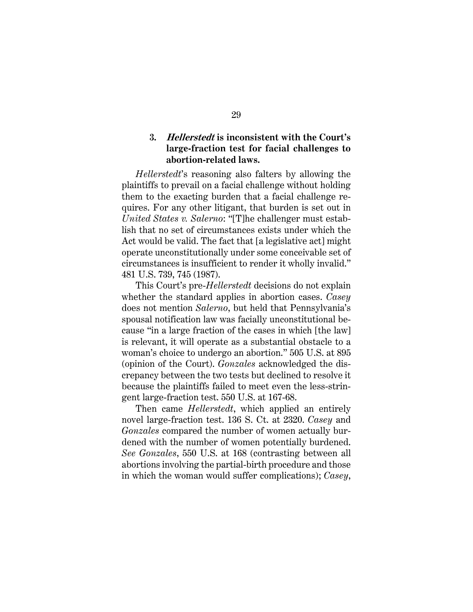### <span id="page-39-0"></span>**3. Hellerstedt is inconsistent with the Court's large-fraction test for facial challenges to abortion-related laws.**

<span id="page-39-1"></span>*Hellerstedt*'s reasoning also falters by allowing the plaintiffs to prevail on a facial challenge without holding them to the exacting burden that a facial challenge requires. For any other litigant, that burden is set out in *United States v. Salerno*: "[T]he challenger must establish that no set of circumstances exists under which the Act would be valid. The fact that [a legislative act] might operate unconstitutionally under some conceivable set of circumstances is insufficient to render it wholly invalid." 481 U.S. 739, 745 (1987).

This Court's pre-*Hellerstedt* decisions do not explain whether the standard applies in abortion cases. *Casey* does not mention *Salerno*, but held that Pennsylvania's spousal notification law was facially unconstitutional because "in a large fraction of the cases in which [the law] is relevant, it will operate as a substantial obstacle to a woman's choice to undergo an abortion." 505 U.S. at 895 (opinion of the Court). *Gonzales* acknowledged the discrepancy between the two tests but declined to resolve it because the plaintiffs failed to meet even the less-stringent large-fraction test. 550 U.S. at 167-68.

Then came *Hellerstedt*, which applied an entirely novel large-fraction test. 136 S. Ct. at 2320. *Casey* and *Gonzales* compared the number of women actually burdened with the number of women potentially burdened. *See Gonzales*, 550 U.S. at 168 (contrasting between all abortions involving the partial-birth procedure and those in which the woman would suffer complications); *Casey*,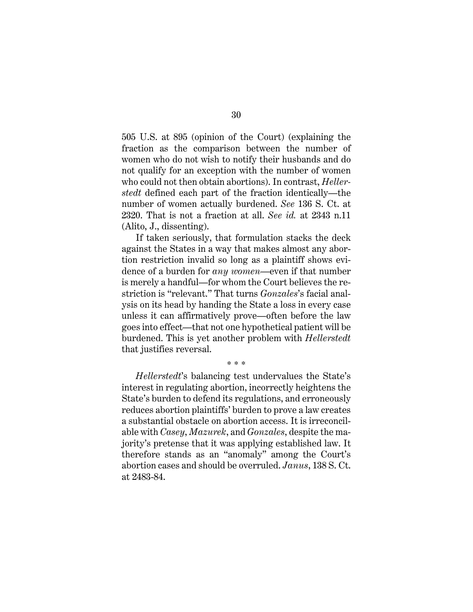505 U.S. at 895 (opinion of the Court) (explaining the fraction as the comparison between the number of women who do not wish to notify their husbands and do not qualify for an exception with the number of women who could not then obtain abortions). In contrast, *Hellerstedt* defined each part of the fraction identically—the number of women actually burdened. *See* 136 S. Ct. at 2320. That is not a fraction at all. *See id.* at 2343 n.11 (Alito, J., dissenting).

If taken seriously, that formulation stacks the deck against the States in a way that makes almost any abortion restriction invalid so long as a plaintiff shows evidence of a burden for *any women*—even if that number is merely a handful—for whom the Court believes the restriction is "relevant." That turns *Gonzales*'s facial analysis on its head by handing the State a loss in every case unless it can affirmatively prove—often before the law goes into effect—that not one hypothetical patient will be burdened. This is yet another problem with *Hellerstedt* that justifies reversal.

\* \* \*

*Hellerstedt*'s balancing test undervalues the State's interest in regulating abortion, incorrectly heightens the State's burden to defend its regulations, and erroneously reduces abortion plaintiffs' burden to prove a law creates a substantial obstacle on abortion access. It is irreconcilable with *Casey*, *Mazurek*, and *Gonzales*, despite the majority's pretense that it was applying established law. It therefore stands as an "anomaly" among the Court's abortion cases and should be overruled. *Janus*, 138 S. Ct. at 2483-84.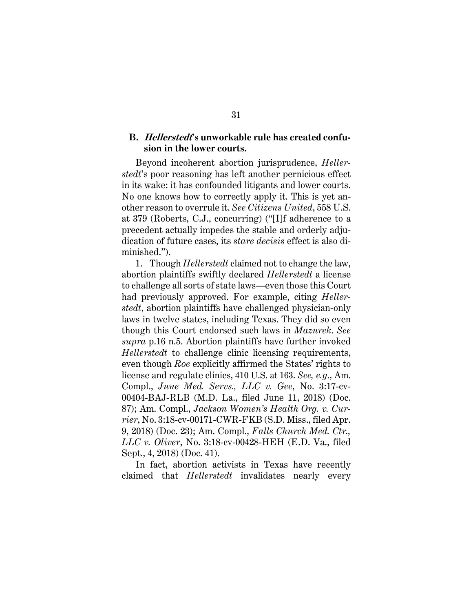### <span id="page-41-0"></span>**B. Hellerstedt's unworkable rule has created confusion in the lower courts.**

<span id="page-41-1"></span>Beyond incoherent abortion jurisprudence, *Hellerstedt*'s poor reasoning has left another pernicious effect in its wake: it has confounded litigants and lower courts. No one knows how to correctly apply it. This is yet another reason to overrule it. *See Citizens United*, 558 U.S. at 379 (Roberts, C.J., concurring) ("[I]f adherence to a precedent actually impedes the stable and orderly adjudication of future cases, its *stare decisis* effect is also diminished.").

<span id="page-41-2"></span>1. Though *Hellerstedt* claimed not to change the law, abortion plaintiffs swiftly declared *Hellerstedt* a license to challenge all sorts of state laws—even those this Court had previously approved. For example, citing *Hellerstedt*, abortion plaintiffs have challenged physician-only laws in twelve states, including Texas. They did so even though this Court endorsed such laws in *Mazurek*. *See supra* p.16 n.5. Abortion plaintiffs have further invoked *Hellerstedt* to challenge clinic licensing requirements, even though *Roe* explicitly affirmed the States' rights to license and regulate clinics, 410 U.S. at 163. *See, e.g*., Am. Compl., *June Med. Servs., LLC v. Gee*, No. 3:17-cv-00404-BAJ-RLB (M.D. La., filed June 11, 2018) (Doc. 87); Am. Compl., *Jackson Women's Health Org. v. Currier*, No. 3:18-cv-00171-CWR-FKB (S.D. Miss., filed Apr. 9, 2018) (Doc. 23); Am. Compl., *Falls Church Med. Ctr., LLC v. Oliver*, No. 3:18-cv-00428-HEH (E.D. Va., filed Sept., 4, 2018) (Doc. 41).

<span id="page-41-5"></span><span id="page-41-4"></span><span id="page-41-3"></span>In fact, abortion activists in Texas have recently claimed that *Hellerstedt* invalidates nearly every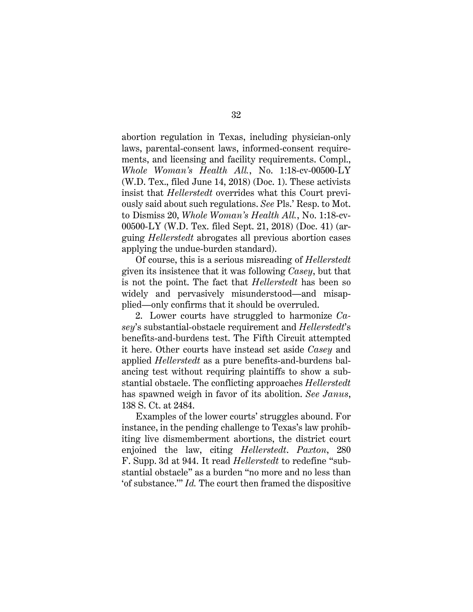abortion regulation in Texas, including physician-only laws, parental-consent laws, informed-consent requirements, and licensing and facility requirements. Compl., *Whole Woman's Health All.*, No. 1:18-cv-00500-LY (W.D. Tex., filed June 14, 2018) (Doc. 1). These activists insist that *Hellerstedt* overrides what this Court previously said about such regulations. *See* Pls.' Resp. to Mot. to Dismiss 20, *Whole Woman's Health All.*, No. 1:18-cv-00500-LY (W.D. Tex. filed Sept. 21, 2018) (Doc. 41) (arguing *Hellerstedt* abrogates all previous abortion cases applying the undue-burden standard).

Of course, this is a serious misreading of *Hellerstedt* given its insistence that it was following *Casey*, but that is not the point. The fact that *Hellerstedt* has been so widely and pervasively misunderstood—and misapplied—only confirms that it should be overruled.

2. Lower courts have struggled to harmonize *Casey*'s substantial-obstacle requirement and *Hellerstedt*'s benefits-and-burdens test. The Fifth Circuit attempted it here. Other courts have instead set aside *Casey* and applied *Hellerstedt* as a pure benefits-and-burdens balancing test without requiring plaintiffs to show a substantial obstacle. The conflicting approaches *Hellerstedt* has spawned weigh in favor of its abolition. *See Janus*, 138 S. Ct. at 2484.

<span id="page-42-0"></span>Examples of the lower courts' struggles abound. For instance, in the pending challenge to Texas's law prohibiting live dismemberment abortions, the district court enjoined the law, citing *Hellerstedt*. *Paxton*, 280 F. Supp. 3d at 944. It read *Hellerstedt* to redefine "substantial obstacle" as a burden "no more and no less than 'of substance.'" *Id.* The court then framed the dispositive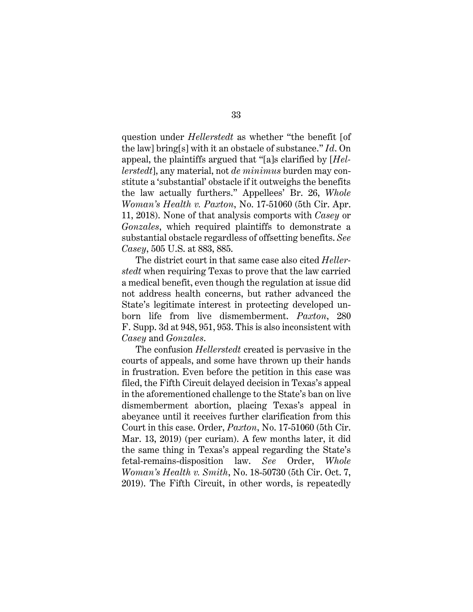<span id="page-43-0"></span>question under *Hellerstedt* as whether "the benefit [of the law] bring[s] with it an obstacle of substance." *Id*. On appeal, the plaintiffs argued that "[a]s clarified by [*Hellerstedt*], any material, not *de minimus* burden may constitute a 'substantial' obstacle if it outweighs the benefits the law actually furthers." Appellees' Br. 26, *Whole Woman's Health v. Paxton*, No. 17-51060 (5th Cir. Apr. 11, 2018). None of that analysis comports with *Casey* or *Gonzales*, which required plaintiffs to demonstrate a substantial obstacle regardless of offsetting benefits. *See Casey*, 505 U.S. at 883, 885.

The district court in that same case also cited *Hellerstedt* when requiring Texas to prove that the law carried a medical benefit, even though the regulation at issue did not address health concerns, but rather advanced the State's legitimate interest in protecting developed unborn life from live dismemberment. *Paxton*, 280 F. Supp. 3d at 948, 951, 953. This is also inconsistent with *Casey* and *Gonzales*.

<span id="page-43-2"></span><span id="page-43-1"></span>The confusion *Hellerstedt* created is pervasive in the courts of appeals, and some have thrown up their hands in frustration. Even before the petition in this case was filed, the Fifth Circuit delayed decision in Texas's appeal in the aforementioned challenge to the State's ban on live dismemberment abortion, placing Texas's appeal in abeyance until it receives further clarification from this Court in this case. Order, *Paxton*, No. 17-51060 (5th Cir. Mar. 13, 2019) (per curiam). A few months later, it did the same thing in Texas's appeal regarding the State's fetal-remains-disposition law. *See* Order, *Whole Woman's Health v. Smith*, No. 18-50730 (5th Cir. Oct. 7, 2019). The Fifth Circuit, in other words, is repeatedly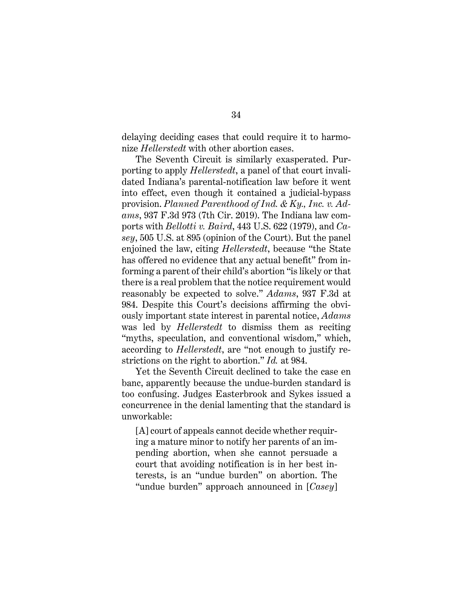delaying deciding cases that could require it to harmonize *Hellerstedt* with other abortion cases.

<span id="page-44-1"></span><span id="page-44-0"></span>The Seventh Circuit is similarly exasperated. Purporting to apply *Hellerstedt*, a panel of that court invalidated Indiana's parental-notification law before it went into effect, even though it contained a judicial-bypass provision. *Planned Parenthood of Ind. & Ky., Inc. v. Adams*, 937 F.3d 973 (7th Cir. 2019). The Indiana law comports with *Bellotti v. Baird*, 443 U.S. 622 (1979), and *Casey*, 505 U.S. at 895 (opinion of the Court). But the panel enjoined the law, citing *Hellerstedt*, because "the State has offered no evidence that any actual benefit" from informing a parent of their child's abortion "is likely or that there is a real problem that the notice requirement would reasonably be expected to solve." *Adams*, 937 F.3d at 984. Despite this Court's decisions affirming the obviously important state interest in parental notice, *Adams* was led by *Hellerstedt* to dismiss them as reciting "myths, speculation, and conventional wisdom," which, according to *Hellerstedt*, are "not enough to justify restrictions on the right to abortion." *Id.* at 984.

Yet the Seventh Circuit declined to take the case en banc, apparently because the undue-burden standard is too confusing. Judges Easterbrook and Sykes issued a concurrence in the denial lamenting that the standard is unworkable:

[A] court of appeals cannot decide whether requiring a mature minor to notify her parents of an impending abortion, when she cannot persuade a court that avoiding notification is in her best interests, is an "undue burden" on abortion. The "undue burden" approach announced in [*Casey*]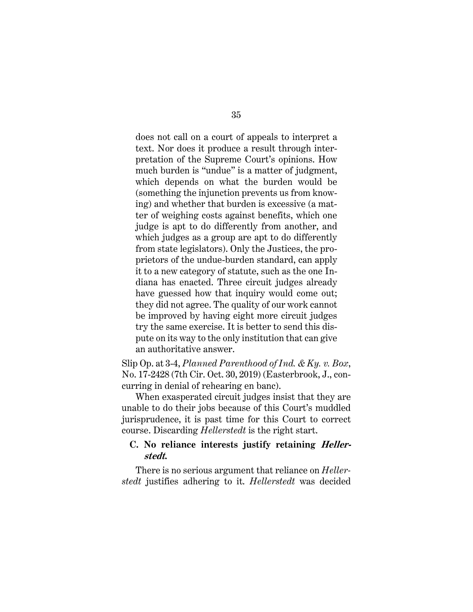does not call on a court of appeals to interpret a text. Nor does it produce a result through interpretation of the Supreme Court's opinions. How much burden is "undue" is a matter of judgment, which depends on what the burden would be (something the injunction prevents us from knowing) and whether that burden is excessive (a matter of weighing costs against benefits, which one judge is apt to do differently from another, and which judges as a group are apt to do differently from state legislators). Only the Justices, the proprietors of the undue-burden standard, can apply it to a new category of statute, such as the one Indiana has enacted. Three circuit judges already have guessed how that inquiry would come out; they did not agree. The quality of our work cannot be improved by having eight more circuit judges try the same exercise. It is better to send this dispute on its way to the only institution that can give an authoritative answer.

<span id="page-45-1"></span>Slip Op. at 3-4, *Planned Parenthood of Ind. & Ky. v. Box*, No. 17-2428 (7th Cir. Oct. 30, 2019) (Easterbrook, J., concurring in denial of rehearing en banc).

When exasperated circuit judges insist that they are unable to do their jobs because of this Court's muddled jurisprudence, it is past time for this Court to correct course. Discarding *Hellerstedt* is the right start.

### <span id="page-45-0"></span>**C. No reliance interests justify retaining Hellerstedt.**

There is no serious argument that reliance on *Hellerstedt* justifies adhering to it. *Hellerstedt* was decided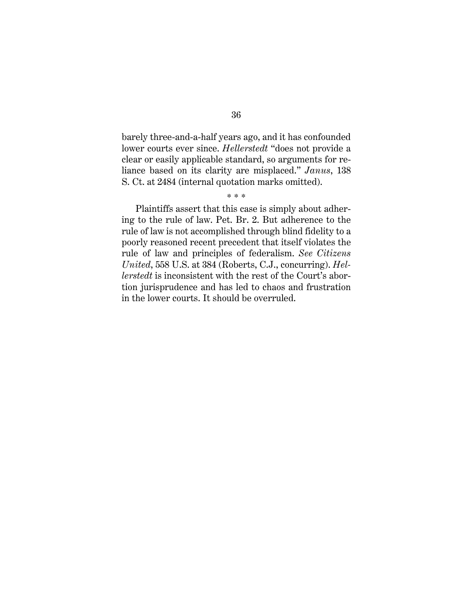barely three-and-a-half years ago, and it has confounded lower courts ever since. *Hellerstedt* "does not provide a clear or easily applicable standard, so arguments for reliance based on its clarity are misplaced." *Janus*, 138 S. Ct. at 2484 (internal quotation marks omitted).

Plaintiffs assert that this case is simply about adhering to the rule of law. Pet. Br. 2. But adherence to the rule of law is not accomplished through blind fidelity to a poorly reasoned recent precedent that itself violates the rule of law and principles of federalism. *See Citizens United*, 558 U.S. at 384 (Roberts, C.J., concurring). *Hellerstedt* is inconsistent with the rest of the Court's abortion jurisprudence and has led to chaos and frustration in the lower courts. It should be overruled.

<span id="page-46-1"></span><span id="page-46-0"></span><sup>\* \* \*</sup>